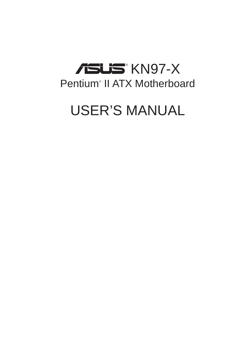# $\mathbb K$ N97-X Pentium® II ATX Motherboard

# USER'S MANUAL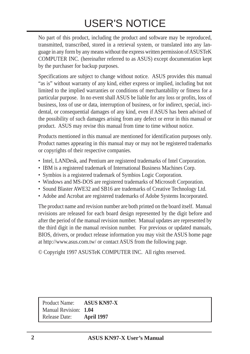# USER'S NOTICE

No part of this product, including the product and software may be reproduced, transmitted, transcribed, stored in a retrieval system, or translated into any language in any form by any means without the express written permission of ASUSTeK COMPUTER INC. (hereinafter referred to as ASUS) except documentation kept by the purchaser for backup purposes.

Specifications are subject to change without notice. ASUS provides this manual "as is" without warranty of any kind, either express or implied, including but not limited to the implied warranties or conditions of merchantability or fitness for a particular purpose. In no event shall ASUS be liable for any loss or profits, loss of business, loss of use or data, interruption of business, or for indirect, special, incidental, or consequential damages of any kind, even if ASUS has been advised of the possibility of such damages arising from any defect or error in this manual or product. ASUS may revise this manual from time to time without notice.

Products mentioned in this manual are mentioned for identification purposes only. Product names appearing in this manual may or may not be registered trademarks or copyrights of their respective companies.

- Intel, LANDesk, and Pentium are registered trademarks of Intel Corporation.
- IBM is a registered trademark of International Business Machines Corp.
- Symbios is a registered trademark of Symbios Logic Corporation.
- Windows and MS-DOS are registered trademarks of Microsoft Corporation.
- Sound Blaster AWE32 and SB16 are trademarks of Creative Technology Ltd.
- Adobe and Acrobat are registered trademarks of Adobe Systems Incorporated.

The product name and revision number are both printed on the board itself. Manual revisions are released for each board design represented by the digit before and after the period of the manual revision number. Manual updates are represented by the third digit in the manual revision number. For previous or updated manuals, BIOS, drivers, or product release information you may visit the ASUS home page at http://www.asus.com.tw/ or contact ASUS from the following page.

© Copyright 1997 ASUSTeK COMPUTER INC. All rights reserved.

| Product Name: ASUS KN97-X |                   |
|---------------------------|-------------------|
| Manual Revision: 1.04     |                   |
| <b>Release Date:</b>      | <b>April 1997</b> |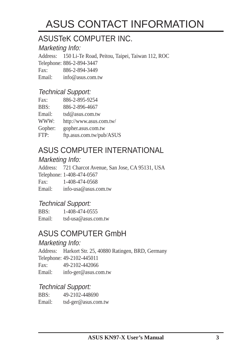# ASUS CONTACT INFORMATION

## ASUSTeK COMPUTER INC.

### Marketing Info:

Address: 150 Li-Te Road, Peitou, Taipei, Taiwan 112, ROC Telephone: 886-2-894-3447

Fax: 886-2-894-3449

Email: info@asus.com.tw

### Technical Support:

| Fax:        | 886-2-895-9254           |
|-------------|--------------------------|
| <b>BBS:</b> | 886-2-896-4667           |
| Email:      | tsd@asus.com.tw          |
| WWW:        | http://www.asus.com.tw/  |
| Gopher:     | gopher.asus.com.tw       |
| FTP:        | ftp.asus.com.tw/pub/ASUS |

## ASUS COMPUTER INTERNATIONAL

### Marketing Info:

Address: 721 Charcot Avenue, San Jose, CA 95131, USA Telephone: 1-408-474-0567 Fax: 1-408-474-0568 Email: info-usa@asus.com.tw

## Technical Support:

BBS: 1-408-474-0555 Email:  $tsd-usa@asus.com$  tw

## ASUS COMPUTER GmbH

### Marketing Info:

Address: Harkort Str. 25, 40880 Ratingen, BRD, Germany Telephone: 49-2102-445011 Fax: 49-2102-442066

Email: info-ger@asus.com.tw

### Technical Support:

| <b>BBS:</b> | 49-2102-448690      |
|-------------|---------------------|
| Email:      | tsd-ger@asus.com.tw |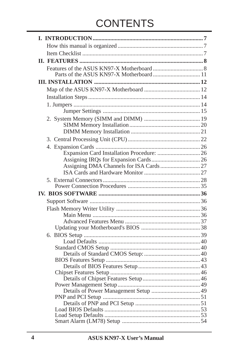# **CONTENTS**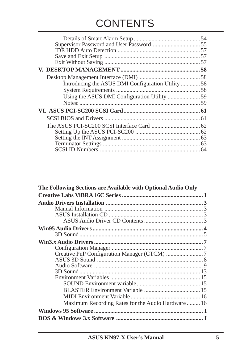| Introducing the ASUS DMI Configuration Utility 58 |  |
|---------------------------------------------------|--|
|                                                   |  |
|                                                   |  |
|                                                   |  |
|                                                   |  |
|                                                   |  |

| The Following Sections are Available with Optional Audio Only |  |
|---------------------------------------------------------------|--|
|                                                               |  |
|                                                               |  |
|                                                               |  |
|                                                               |  |
|                                                               |  |
|                                                               |  |
|                                                               |  |
|                                                               |  |
|                                                               |  |
|                                                               |  |
|                                                               |  |
|                                                               |  |
|                                                               |  |
|                                                               |  |
|                                                               |  |
|                                                               |  |
|                                                               |  |
| Maximum Recording Rates for the Audio Hardware  16            |  |
|                                                               |  |
|                                                               |  |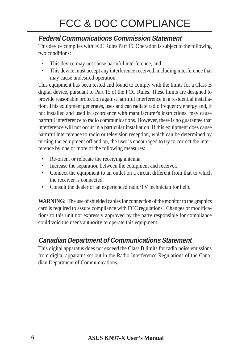## **Federal Communications Commission Statement**

This device complies with FCC Rules Part 15. Operation is subject to the following two conditions:

- This device may not cause harmful interference, and
- This device must accept any interference received, including interference that may cause undesired operation.

This equipment has been tested and found to comply with the limits for a Class B digital device, pursuant to Part 15 of the FCC Rules. These limits are designed to provide reasonable protection against harmful interference in a residential installation. This equipment generates, uses and can radiate radio frequency energy and, if not installed and used in accordance with manufacturer's instructions, may cause harmful interference to radio communications. However, there is no guarantee that interference will not occur in a particular installation. If this equipment does cause harmful interference to radio or television reception, which can be determined by turning the equipment off and on, the user is encouraged to try to correct the interference by one or more of the following measures:

- Re-orient or relocate the receiving antenna.
- Increase the separation between the equipment and receiver.
- Connect the equipment to an outlet on a circuit different from that to which the receiver is connected.
- Consult the dealer or an experienced radio/TV technician for help.

**WARNING:** The use of shielded cables for connection of the monitor to the graphics card is required to assure compliance with FCC regulations. Changes or modifications to this unit not expressly approved by the party responsible for compliance could void the user's authority to operate this equipment.

## **Canadian Department of Communications Statement**

This digital apparatus does not exceed the Class B limits for radio noise emissions from digital apparatus set out in the Radio Interference Regulations of the Canadian Department of Communications.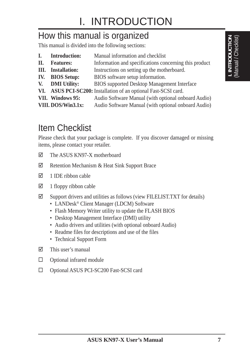## How this manual is organized

This manual is divided into the following sections:

- **I. Introduction:** Manual information and checklist
- **II.** Features: Information and specifications concerning this product
- **III.** Installation: Instructions on setting up the motherboard.
- **IV. BIOS Setup:** BIOS software setup information.
- **V. DMI Utility:** BIOS supported Desktop Management Interface
- **VI. ASUS PCI-SC200:** Installation of an optional Fast-SCSI card.
- **VII. Windows 95:** Audio Software Manual (with optional onboard Audio)
- **VIII. DOS/Win3.1x:** Audio Software Manual (with optional onboard Audio)

# Item Checklist

Please check that your package is complete. If you discover damaged or missing items, please contact your retailer.

- $\nabla$  The ASUS KN97-X motherboard
- $\boxtimes$  Retention Mechanism & Heat Sink Support Brace
- $\boxtimes$  1 IDE ribbon cable
- $\boxtimes$  1 floppy ribbon cable
- $\boxtimes$  Support drivers and utilities as follows (view FILELIST.TXT for details)
	- LANDesk® Client Manager (LDCM) Software
	- Flash Memory Writer utility to update the FLASH BIOS
	- Desktop Management Interface (DMI) utility
	- Audio drivers and utilities (with optional onboard Audio)
	- Readme files for descriptions and use of the files
	- Technical Support Form
- $\nabla$  This user's manual
- $\Box$  Optional infrared module
- □ Optional ASUS PCI-SC200 Fast-SCSI card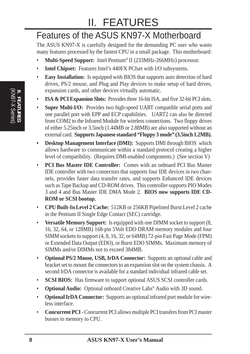# II. FEATURES

# Features of the ASUS KN97-X Motherboard

The ASUS KN97-X is carefully designed for the demanding PC user who wants many features processed by the fastest CPU in a small package. This motherboard:

- **Multi-Speed Support:** Intel Pentium® II (233MHz-266MHz) processor.
- **Intel Chipset:** Features Intel's 440FX PCIset with I/O subsystems.
- **Easy Installation:** Is equipped with BIOS that supports auto detection of hard drives, PS/2 mouse, and Plug and Play devices to make setup of hard drives, expansion cards, and other devices virtually automatic.
- **ISA & PCI Expansion Slots:** Provides three 16-bit ISA, and five 32-bit PCI slots.
- **Super Multi-I/O:** Provides two high-speed UART compatible serial ports and one parallel port with EPP and ECP capabilities. UART2 can also be directed from COM2 to the Infrared Module for wireless connections. Two floppy drives of either 5.25inch or 3.5inch (1.44MB or 2.88MB) are also supported without an external card. **Supports Japanese standard "Floppy 3 mode" (3.5inch 1.2MB).**
- **Desktop Management Interface (DMI):** Supports DMI through BIOS which allows hardware to communicate within a standard protocol creating a higher level of compatibility. (Requires DMI-enabled components.) (See section V)
- **PCI Bus Master IDE Controller:** Comes with an onboard PCI Bus Master IDE controller with two connectors that supports four IDE devices in two channels, provides faster data transfer rates, and supports Enhanced IDE devices such as Tape Backup and CD-ROM drives. This controller supports PIO Modes 3 and 4 and Bus Master IDE DMA Mode 2. **BIOS now supports IDE CD-ROM or SCSI bootup.**
- **CPU Built-In Level 2 Cache:** 512KB or 256KB Pipelined Burst Level 2 cache in the Pentium II Single Edge Contact (SEC) cartridge.
- **Versatile Memory Support:** Is equipped with one DIMM socket to support (8, 16, 32, 64, or 128MB) 168-pin 5Volt EDO DRAM memory modules and four SIMM sockets to support (4, 8, 16, 32, or 64MB) 72-pin Fast Page Mode (FPM) or Extended Data Output (EDO), or Burst EDO SIMMs. Maximum memory of SIMMs and/or DIMMs not to exceed 384MB.
- **Optional PS/2 Mouse, USB, IrDA Connector:** Supports an optional cable and bracket set to mount the connectors to an expansion slot on the system chassis. A second IrDA connector is available for a standard individual infrared cable set.
- **SCSI BIOS:** Has firmware to support optional ASUS SCSI controller cards.
- **Optional Audio:** Optional onboard Creative Labs® Audio with 3D sound.
- **Optional IrDA Connector:** Supports an optional infrared port module for wireless interface.
- **Concurrent PCI -** Concurrent PCI allows multiple PCI transfers from PCI master busses to memory to CPU.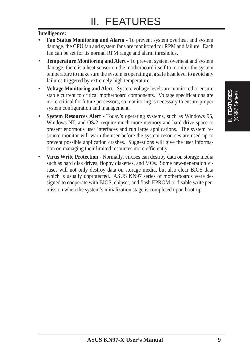#### **Intelligence:**

- **Fan Status Monitoring and Alarm -** To prevent system overheat and system damage, the CPU fan and system fans are monitored for RPM and failure. Each fan can be set for its normal RPM range and alarm thresholds.
- **Temperature Monitoring and Alert -** To prevent system overheat and system damage, there is a heat sensor on the motherboard itself to monitor the system temperature to make sure the system is operating at a safe heat level to avoid any failures triggered by extremely high temperature.
- **Voltage Monitoring and Alert -** System voltage levels are monitored to ensure stable current to critical motherboard components. Voltage specifications are more critical for future processors, so monitoring is necessary to ensure proper system configuration and management.
- **System Resources Alert -** Today's operating systems, such as Windows 95, Windows NT, and OS/2, require much more memory and hard drive space to present enormous user interfaces and run large applications. The system resource monitor will warn the user before the system resources are used up to prevent possible application crashes. Suggestions will give the user information on managing their limited resources more efficiently.
- **Virus Write Protection -** Normally, viruses can destroy data on storage media such as hard disk drives, floppy diskettes, and MOs. Some new-generation viruses will not only destroy data on storage media, but also clear BIOS data which is usually unprotected. ASUS KN97 series of motherboards were designed to cooperate with BIOS, chipset, and flash EPROM to disable write permission when the system's initialization stage is completed upon boot-up.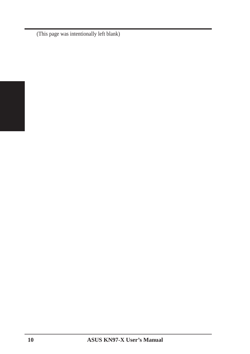(This page was intentionally left blank)

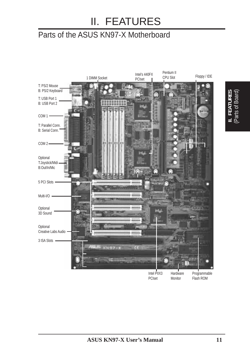# II. FEATURES

## Parts of the ASUS KN97-X Motherboard

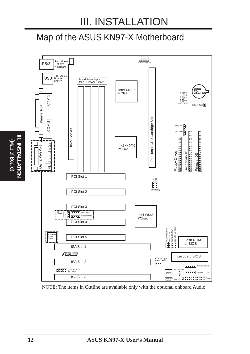# Map of the ASUS KN97-X Motherboard



NOTE: The items in Outline are available only with the optional onboard Audio.

(Map of Board) **III. INSTALLATION**

II. INSTALLATIO<br>(Map of Board)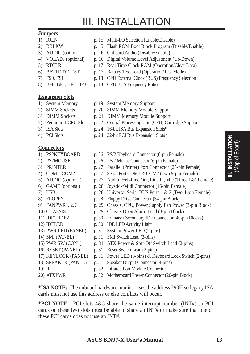# III. INSTALLATION

#### **Jumpers**

- 1) IOEN p. 15 Multi-I/O Selection (Enable/Disable)
- 
- 
- 
- 
- 
- 
- 

#### **Expansion Slots**

- 
- 
- 
- 
- 
- 

#### **Connectors**

- 
- 
- 
- 
- 
- 
- 
- 
- 
- 
- 
- 
- 
- 
- 
- 
- 
- 
- 
- 2) BBLKW p. 15 Flash ROM Boot Block Program (Disable/Enable)
- 3) AUDIO (optional) p. 16 Onboard Audio (Disable/Enable)
- 4) VOLADJ (optional) p. 16 Digital Volume Level Adjustment (Up/Down)
- 5) RTCLR p. 17 Real Time Clock RAM (Operation/Clear Data)
- 6) BATTERY TEST p. 17 Battery Test Lead (Operation/Test Mode)
- 7) FS0, FS1 p. 18 CPU External Clock (BUS) Frequency Selection
- 8) BF0, BF1, BF2, BF3 p. 18 CPU:BUS Frequency Ratio
- 1) System Memory p. 19 System Memory Support
- 2) SIMM Sockets p. 20 SIMM Memory Module Support
- 3) DIMM Sockets p. 21 DIMM Memory Module Support
- 2) Pentium II CPU Slot p. 22 Central Processing Unit (CPU) Cartridge Support
- 3) ISA Slots p. 24 16-bit ISA Bus Expansion Slots**\***
- 4) PCI Slots p. 24 32-bit PCI Bus Expansion Slots\*
- 1) PS2KEYBOARD p. 26 PS/2 Keyboard Connector (6-pin Female)
- 2) PS2MOUSE p. 26 PS/2 Mouse Connector (6-pin Female)
- 3) PRINTER p. 27 Parallel (Printer) Port Connector (25-pin Female)
- 4) COM1, COM2 p. 27 Serial Port COM1 & COM2 (Two 9-pin Female)
- 5) AUDIO (optional) p. 27 Audio Port -Line Out, Line In, Mic (Three 1/8" Female)
- 6) GAME (optional) p. 28 Joystick/Midi Connector (15-pin Female)
- 7) USB p. 28 Universal Serial BUS Ports 1 & 2 (Two 4-pin Female)
- 8) FLOPPY p. 28 Floppy Drive Connector (34-pin Block)
- 9) FANPWR1, 2, 3 p. 29 Chassis, CPU, Power Supply Fan Power (3-pin Block)
- 10) CHASSIS p. 29 Chassis Open Alarm Lead (3-pin Block)
- 11) IDE1, IDE2 p. 30 Primary / Secondary IDE Connector (40-pin Blocks)
- 12) IDELED p. 30 IDE LED Activity Light
- 13) PWR LED (PANEL) p. 31 System Power LED (2-pins)
- 14) SMI (PANEL) p. 31 SMI Switch Lead (2-pins)
- 15) PWR SW (CON1) p. 31 ATX Power & Soft-Off Switch Lead (2-pins)
- 16) RESET (PANEL) p. 31 Reset Switch Lead (2-pins)
- 17) KEYLOCK (PANEL) p. 31 Power LED (3-pins) & Keyboard Lock Switch (2-pins)
- 18) SPEAKER (PANEL) p. 31 Speaker Output Connector (4-pins)
- 19) IR p. 32 Infrared Port Module Connector
- 20) ATXPWR p. 32 Motherboard Power Connector (20-pin Block)

**\*ISA NOTE:** The onboard hardware monitor uses the address 290H so legacy ISA cards must not use this address or else conflicts will occur.

**\*PCI NOTE:** PCI slots 4&5 share the same interrupt number (INT#) so PCI cards on these two slots must be able to share an INT# or make sure that one of these PCI cards does not use an INT#.

- 
- 
- 
- 
-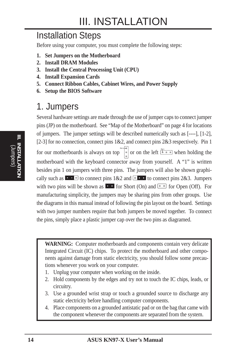## Installation Steps

Before using your computer, you must complete the following steps:

- **1. Set Jumpers on the Motherboard**
- **2. Install DRAM Modules**
- **3. Install the Central Processing Unit (CPU)**
- **4. Install Expansion Cards**
- **5. Connect Ribbon Cables, Cabinet Wires, and Power Supply**
- **6. Setup the BIOS Software**

## 1. Jumpers

Several hardware settings are made through the use of jumper caps to connect jumper pins (JP) on the motherboard. See "Map of the Motherboard" on page 4 for locations of jumpers. The jumper settings will be described numerically such as [----], [1-2], [2-3] for no connection, connect pins 1&2, and connect pins 2&3 respectively. Pin 1 for our motherboards is always on top  $\int_{0}^{\ln}$  or on the left  $\frac{p_{n+1}}{p_{n-1}}$  when holding the motherboard with the keyboard connector away from yourself. A "1" is written besides pin 1 on jumpers with three pins. The jumpers will also be shown graphically such as  $\cdot \cdot \cdot$  to connect pins  $1\&2$  and  $\cdot \cdot \cdot$  to connect pins 2&3. Jumpers with two pins will be shown as **for** Short (On) and  $\boxed{0}$  or Open (Off). For manufacturing simplicity, the jumpers may be sharing pins from other groups. Use the diagrams in this manual instead of following the pin layout on the board. Settings with two jumper numbers require that both jumpers be moved together. To connect the pins, simply place a plastic jumper cap over the two pins as diagramed.

**WARNING:** Computer motherboards and components contain very delicate Integrated Circuit (IC) chips. To protect the motherboard and other components against damage from static electricity, you should follow some precautions whenever you work on your computer.

- 1. Unplug your computer when working on the inside.
- 2. Hold components by the edges and try not to touch the IC chips, leads, or circuitry.
- 3. Use a grounded wrist strap or touch a grounded source to discharge any static electricity before handling computer components.
- 4. Place components on a grounded antistatic pad or on the bag that came with the component whenever the components are separated from the system.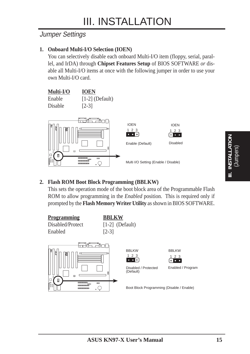### Jumper Settings

#### **1. Onboard Multi-I/O Selection (IOEN)**

You can selectively disable each onboard Multi-I/O item (floppy, serial, parallel, and IrDA) through **Chipset Features Setup** of BIOS SOFTWARE *or* disable all Multi-I/O items at once with the following jumper in order to use your own Multi-I/O card.

| Multi-I/O | <b>IOEN</b>       |
|-----------|-------------------|
| Enable    | $[1-2]$ (Default) |
| Disable   | $[2-3]$           |
|           |                   |



#### **2. Flash ROM Boot Block Programming (BBLKW)**

This sets the operation mode of the boot block area of the Programmable Flash ROM to allow programming in the *Enabled* position. This is required only if prompted by the **Flash Memory Writer Utility** as shown in BIOS SOFTWARE.



**III. INSTALLATION** (Jumpers)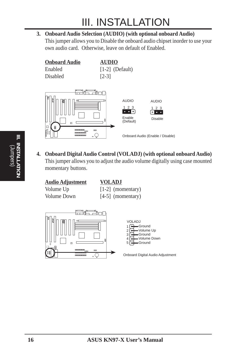#### **3. Onboard Audio Selection (AUDIO) (with optional onboard Audio)**

This jumper allows you to Disable the onboard audio chipset inorder to use your own audio card. Otherwise, leave on default of Enabled.

**Onboard Audio AUDIO** Enabled [1-2] (Default) Disabled [2-3] AUDIO AUDIO  $\begin{array}{ccc} 1 & 2 & 3 \\ \hline \textbf{I} & \textbf{I} & \textbf{0} \end{array}$ Enable Disable (Default)  $\circ$ Onboard Audio (Enable / Disable)

**4. Onboard Digital Audio Control (VOLADJ) (with optional onboard Audio)** This jumper allows you to adjust the audio volume digitally using case mounted momentary buttons.

### **Audio Adjustment VOLADJ**

Volume Up [1-2] (momentary) Volume Down [4-5] (momentary)

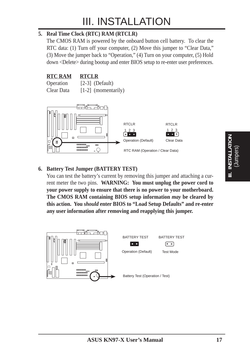#### **5. Real Time Clock (RTC) RAM (RTCLR)**

The CMOS RAM is powered by the onboard button cell battery. To clear the RTC data: (1) Turn off your computer, (2) Move this jumper to "Clear Data," (3) Move the jumper back to "Operation," (4) Turn on your computer, (5) Hold down <Delete> during bootup and enter BIOS setup to re-enter user preferences.

#### **RTC RAM RTCLR**

| Operation  | $[2-3]$ (Default)   |
|------------|---------------------|
| Clear Data | [1-2] (momentarily) |



#### **6. Battery Test Jumper (BATTERY TEST)**

You can test the battery's current by removing this jumper and attaching a current meter the two pins. **WARNING: You must unplug the power cord to your power supply to ensure that there is no power to your motherboard. The CMOS RAM containing BIOS setup information** *may* **be cleared by this action. You** *should* **enter BIOS to "Load Setup Defaults" and re-enter any user information after removing and reapplying this jumper.**

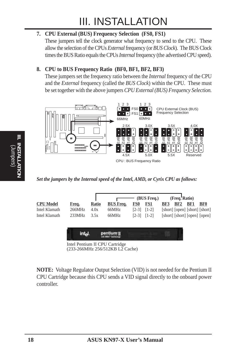#### **7. CPU External (BUS) Frequency Selection (FS0, FS1)**

These jumpers tell the clock generator what frequency to send to the CPU. These allow the selection of the CPUs *External* frequency (or *BUS Clock*). The BUS Clock times the BUS Ratio equals the CPUs *Internal* frequency (the advertised CPU speed).

#### **8. CPU to BUS Frequency Ratio (BF0, BF1, BF2, BF3)**

These jumpers set the frequency ratio between the *Internal* frequency of the CPU and the *External* frequency (called the *BUS Clock*) within the CPU. These must be set together with the above jumpers *CPU External (BUS) Frequency Selection.*



*Set the jumpers by the Internal speed of the Intel, AMD, or Cyrix CPU as follows:*

|                                   |                 |                      |                                                                   |                       | (BUS Freq.)                |            | (Freq. Ratio) |                                              |            |
|-----------------------------------|-----------------|----------------------|-------------------------------------------------------------------|-----------------------|----------------------------|------------|---------------|----------------------------------------------|------------|
| <b>CPU Model</b><br>Intel Klamath | Freq.<br>266MHz | <b>Ratio</b><br>4.0x | <b>BUS Freq.</b><br>66MHz                                         | <b>FS0</b><br>$[2-3]$ | FS <sub>1</sub><br>$[1-2]$ | <b>BF3</b> | BF2           | <b>BF1</b><br>[short] [open] [short] [short] | <b>BF0</b> |
| Intel Klamath                     | 233MHz          | 3.5x                 | 66MHz                                                             | $[2-3]$               | $[1-2]$                    |            |               | [short] [short] [open] [open]                |            |
|                                   | intal           |                      |                                                                   |                       |                            |            |               |                                              |            |
|                                   |                 |                      | Intel Pentium II CPU Cartridge<br>(233-266MHz 256/512KB L2 Cache) |                       |                            |            |               |                                              |            |

**NOTE:** Voltage Regulator Output Selection (VID) is not needed for the Pentium II CPU Cartridge because this CPU sends a VID signal directly to the onboard power controller.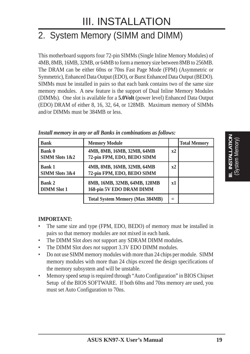# 2. System Memory (SIMM and DIMM)

This motherboard supports four 72-pin SIMMs (Single Inline Memory Modules) of 4MB, 8MB, 16MB, 32MB, or 64MB to form a memory size between 8MB to 256MB. The DRAM can be either 60ns or 70ns Fast Page Mode (FPM) (Asymmetric or Symmetric), Enhanced Data Output (EDO), or Burst Enhanced Data Output (BEDO). SIMMs must be installed in pairs so that each bank contains two of the same size memory modules. A new feature is the support of Dual Inline Memory Modules (DIMMs). One slot is available for a **5.0Volt** (power level) Enhanced Data Output (EDO) DRAM of either 8, 16, 32, 64, or 128MB. Maximum memory of SIMMs and/or DIMMs must be 384MB or less.

| <b>Bank</b>                                | <b>Memory Module</b>                                     |       | <b>Total Memory</b> |
|--------------------------------------------|----------------------------------------------------------|-------|---------------------|
| <b>Bank 0</b><br><b>SIMM Slots 1&amp;2</b> | 4MB, 8MB, 16MB, 32MB, 64MB<br>72-pin FPM, EDO, BEDO SIMM | $x^2$ |                     |
| <b>Bank 1</b><br><b>SIMM Slots 3&amp;4</b> | 4MB, 8MB, 16MB, 32MB, 64MB<br>72-pin FPM, EDO, BEDO SIMM | $x^2$ |                     |
| <b>Bank 2</b><br><b>DIMM Slot 1</b>        | 8MB, 16MB, 32MB, 64MB, 128MB<br>168-pin 5V EDO DRAM DIMM | x1    |                     |
|                                            | <b>Total System Memory (Max 384MB)</b>                   |       |                     |

*Install memory in any or all Banks in combinations as follows:*

#### **IMPORTANT:**

- The same size and type (FPM, EDO, BEDO) of memory must be installed in pairs so that memory modules are not mixed in each bank.
- The DIMM Slot *does not* support any SDRAM DIMM modules.
- The DIMM Slot *does not* support 3.3V EDO DIMM modules.
- Do not use SIMM memory modules with more than 24 chips per module. SIMM memory modules with more than 24 chips exceed the design specifications of the memory subsystem and will be unstable.
- Memory speed setup is required through "Auto Configuration" in BIOS Chipset Setup of the BIOS SOFTWARE. If both 60ns and 70ns memory are used, you must set Auto Configuration to 70ns.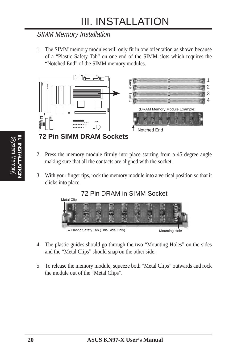# III. INSTALLATION

### SIMM Memory Installation

1. The SIMM memory modules will only fit in one orientation as shown because of a "Plastic Safety Tab" on one end of the SIMM slots which requires the "Notched End" of the SIMM memory modules.



2. Press the memory module firmly into place starting from a 45 degree angle

making sure that all the contacts are aligned with the socket.

3. With your finger tips, rock the memory module into a vertical position so that it clicks into place.

### 72 Pin DRAM in SIMM Socket



- 4. The plastic guides should go through the two "Mounting Holes" on the sides and the "Metal Clips" should snap on the other side.
- 5. To release the memory module, squeeze both "Metal Clips" outwards and rock the module out of the "Metal Clips".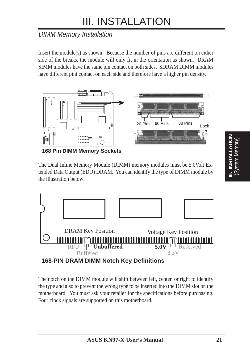# III. INSTALLATION

## DIMM Memory Installation

Insert the module(s) as shown. Because the number of pins are different on either side of the breaks, the module will only fit in the orientation as shown. DRAM SIMM modules have the same pin contact on both sides. SDRAM DIMM modules have different pint contact on each side and therefore have a higher pin density.



**168 Pin DIMM Memory Sockets**

The Dual Inline Memory Module (DIMM) memory modules must be 5.0Volt Extended Data Output (EDO) DRAM. You can identify the type of DIMM module by the illustration below:



**168-PIN DRAM DIMM Notch Key Definitions**

The notch on the DIMM module will shift between left, center, or right to identify the type and also to prevent the wrong type to be inserted into the DIMM slot on the motherboard. You must ask your retailer for the specifications before purchasing. Four clock signals are supported on this motherboard.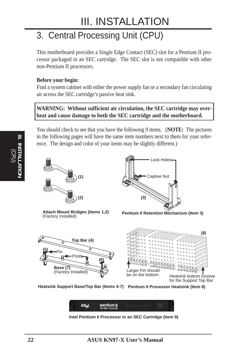# 3. Central Processing Unit (CPU)

This motherboard provides a Single Edge Contact (SEC) slot for a Pentium II processor packaged in an SEC cartridge. The SEC slot is not compatible with other non-Pentium II processors.

#### **Before your begin:**

Find a system cabinet with either the power supply fan or a secondary fan circulating air across the SEC cartridge's passive heat sink.

#### **WARNING: Without sufficient air circulation, the SEC cartridge may overheat and cause damage to both the SEC cartridge and the motherboard.**

You should check to see that you have the following 9 items. (**NOTE:** The pictures in the following pages will have the same item numbers next to them for your reference. The design and color of your items may be slightly different.)





**Attach Mount Bridges (Items 1,2)** (Factory Installed)

**Pentium II Retention Mechanism (Item 3)**





Heatsink bottom Groove for the Support Top Bar

Heatsink Support Base/Top Bar (Items 4-7) Pentium II Processor Heatsink (Item 8)



**Intel Pentium II Processor in an SEC Cartridge (Item 9)**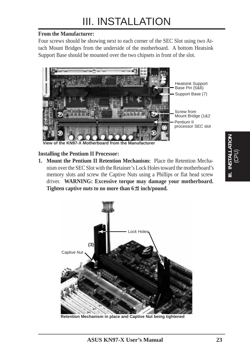#### **From the Manufacturer:**

Four screws should be showing next to each corner of the SEC Slot using two Attach Mount Bridges from the underside of the motherboard. A bottom Heatsink Support Base should be mounted over the two chipsets in front of the slot.



**View of the KN97-X Motherboard from the Manufacturer**

#### **Installing the Pentium II Processor:**

**1. Mount the Pentium II Retention Mechanism:** Place the Retention Mechanism over the SEC Slot with the Retainer's Lock Holes toward the motherboard's memory slots and screw the Captive Nuts using a Phillips or flat head screw driver. **WARNING: Excessive torque may damage your motherboard. Tighten captive nuts to no more than 6**±**1 inch/pound.**



**Retention Mechanism in place and Captive Nut being tightened**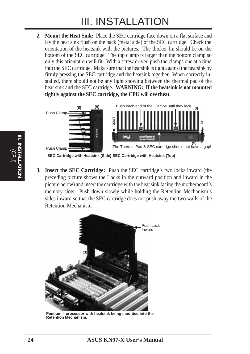# III. INSTALLATION

**2. Mount the Heat Sink:** Place the SEC cartridge face down on a flat surface and lay the heat sink flush on the back (metal side) of the SEC cartridge. Check the orientation of the heatsink with the pictures. The thicker fin should be on the bottom of the SEC cartridge. The top clamp is larger than the bottom clamp so only this orientation will fit. With a screw driver, push the clamps one at a time into the SEC cartridge. Make sure that the heatsink is tight against the heatsink by firmly pressing the SEC cartridge and the heatsink together. When correctly installed, there should not be any light showing between the thermal pad of the heat sink and the SEC cartridge. **WARNING: If the heatsink is not mounted tightly against the SEC cartridge, the CPU will overheat.**



**SEC Cartridge with Heatsink (Side) SEC Cartridge with Heatsink (Top)**

**3. Insert the SEC Cartridge:** Push the SEC cartridge's two locks inward (the preceding picture shows the Locks in the outward position and inward in the picture below) and insert the cartridge with the heat sink facing the motherboard's memory slots. Push down slowly while holding the Retention Mechanism's sides inward so that the SEC cartridge does not push away the two walls of the Retention Mechanism.



**Pentium II processor with heatsink being mounted into the Retention Mechanism.**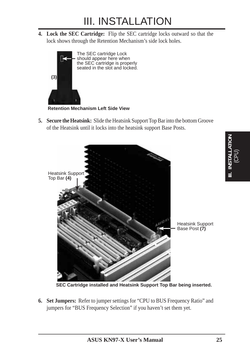**4. Lock the SEC Cartridge:** Flip the SEC cartridge locks outward so that the lock shows through the Retention Mechanism's side lock holes.



#### **Retention Mechanism Left Side View**

**5. Secure the Heatsink:** Slide the Heatsink Support Top Bar into the bottom Groove of the Heatsink until it locks into the heatsink support Base Posts.



**SEC Cartridge installed and Heatsink Support Top Bar being inserted.**

**6. Set Jumpers:** Refer to jumper settings for "CPU to BUS Frequency Ratio" and jumpers for "BUS Frequency Selection" if you haven't set them yet.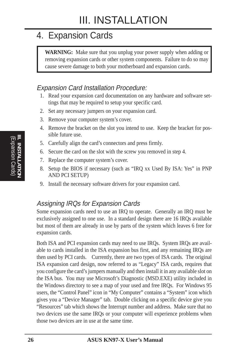## 4. Expansion Cards

**WARNING:** Make sure that you unplug your power supply when adding or removing expansion cards or other system components. Failure to do so may cause severe damage to both your motherboard and expansion cards.

### Expansion Card Installation Procedure:

- 1. Read your expansion card documentation on any hardware and software settings that may be required to setup your specific card.
- 2. Set any necessary jumpers on your expansion card.
- 3. Remove your computer system's cover.
- 4. Remove the bracket on the slot you intend to use. Keep the bracket for possible future use.
- 5. Carefully align the card's connectors and press firmly.
- 6. Secure the card on the slot with the screw you removed in step 4.
- 7. Replace the computer system's cover.
- 8. Setup the BIOS if necessary (such as "IRQ xx Used By ISA: Yes" in PNP AND PCI SETUP)
- 9. Install the necessary software drivers for your expansion card.

### Assigning IRQs for Expansion Cards

Some expansion cards need to use an IRQ to operate. Generally an IRQ must be exclusively assigned to one use. In a standard design there are 16 IRQs available but most of them are already in use by parts of the system which leaves 6 free for expansion cards.

Both ISA and PCI expansion cards may need to use IRQs. System IRQs are available to cards installed in the ISA expansion bus first, and any remaining IRQs are then used by PCI cards. Currently, there are two types of ISA cards. The original ISA expansion card design, now referred to as "Legacy" ISA cards, requires that you configure the card's jumpers manually and then install it in any available slot on the ISA bus. You may use Microsoft's Diagnostic (MSD.EXE) utility included in the Windows directory to see a map of your used and free IRQs. For Windows 95 users, the "Control Panel" icon in "My Computer" contains a "System" icon which gives you a "Device Manager" tab. Double clicking on a specific device give you "Resources" tab which shows the Interrupt number and address. Make sure that no two devices use the same IRQs or your computer will experience problems when those two devices are in use at the same time.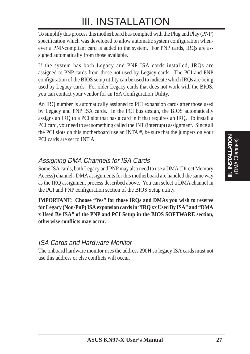# III. INSTALLATION

To simplify this process this motherboard has complied with the Plug and Play (PNP) specification which was developed to allow automatic system configuration whenever a PNP-compliant card is added to the system. For PNP cards, IRQs are assigned automatically from those available.

If the system has both Legacy and PNP ISA cards installed, IRQs are assigned to PNP cards from those not used by Legacy cards. The PCI and PNP configuration of the BIOS setup utility can be used to indicate which IRQs are being used by Legacy cards. For older Legacy cards that does not work with the BIOS, you can contact your vendor for an ISA Configuration Utility.

An IRQ number is automatically assigned to PCI expansion cards after those used by Legacy and PNP ISA cards. In the PCI bus design, the BIOS automatically assigns an IRQ to a PCI slot that has a card in it that requires an IRQ. To install a PCI card, you need to set something called the INT (interrupt) assignment. Since all the PCI slots on this motherboard use an INTA #, be sure that the jumpers on your PCI cards are set to INT A.

### Assigning DMA Channels for ISA Cards

Some ISA cards, both Legacy and PNP may also need to use a DMA (Direct Memory Access) channel. DMA assignments for this motherboard are handled the same way as the IRQ assignment process described above. You can select a DMA channel in the PCI and PNP configuration section of the BIOS Setup utility.

**IMPORTANT: Choose "Yes" for those IRQs and DMAs you wish to reserve for Legacy (Non-PnP) ISA expansion cards in "IRQ xx Used By ISA" and "DMA x Used By ISA" of the PNP and PCI Setup in the BIOS SOFTWARE section, otherwise conflicts may occur.**

### ISA Cards and Hardware Monitor

The onboard hardware monitor uses the address 290H so legacy ISA cards must not use this address or else conflicts will occur.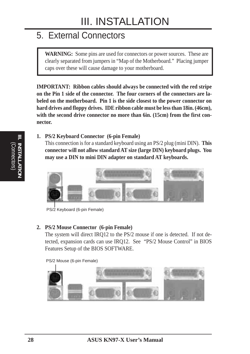# III. INSTALLATION

## 5. External Connectors

**WARNING:** Some pins are used for connectors or power sources. These are clearly separated from jumpers in "Map of the Motherboard." Placing jumper caps over these will cause damage to your motherboard.

**IMPORTANT: Ribbon cables should always be connected with the red stripe on the Pin 1 side of the connector. The four corners of the connectors are labeled on the motherboard. Pin 1 is the side closest to the power connector on hard drives and floppy drives. IDE ribbon cable must be less than 18in. (46cm),** with the second drive connector no more than 6in. (15cm) from the first con**nector.**

**1. PS/2 Keyboard Connector (6-pin Female)**

This connection is for a standard keyboard using an PS/2 plug (mini DIN). **This connector will not allow standard AT size (large DIN) keyboard plugs. You may use a DIN to mini DIN adapter on standard AT keyboards.**



PS/2 Keyboard (6-pin Female)

#### **2. PS/2 Mouse Connector (6-pin Female)**

The system will direct IRQ12 to the PS/2 mouse if one is detected. If not detected, expansion cards can use IRQ12. See "PS/2 Mouse Control" in BIOS Features Setup of the BIOS SOFTWARE.

PS/2 Mouse (6-pin Female)

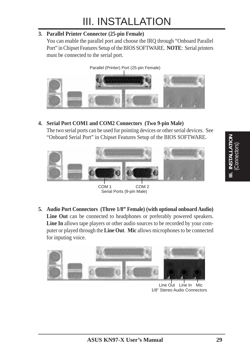#### **3. Parallel Printer Connector (25-pin Female)**

You can enable the parallel port and choose the IRQ through "Onboard Parallel Port" in Chipset Features Setup of the BIOS SOFTWARE. **NOTE**: Serial printers must be connected to the serial port.

#### Parallel (Printer) Port (25-pin Female)



#### **4. Serial Port COM1 and COM2 Connectors (Two 9-pin Male)**

The two serial ports can be used for pointing devices or other serial devices. See "Onboard Serial Port" in Chipset Features Setup of the BIOS SOFTWARE.



Serial Ports (9-pin Male)

**5. Audio Port Connectors (Three 1/8" Female) (with optional onboard Audio)** Line Out can be connected to headphones or preferably powered speakers. **Line In** allows tape players or other audio sources to be recorded by your computer or played through the **Line Out**. **Mic** allows microphones to be connected for inputing voice.



Line Out Line In Mic 1/8" Stereo Audio Connectors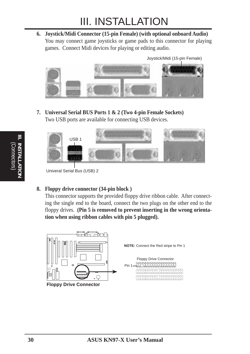# III. INSTALLATION

**6. Joystick/Midi Connector (15-pin Female) (with optional onboard Audio)**

You may connect game joysticks or game pads to this connector for playing games. Connect Midi devices for playing or editing audio.

Joystick/Midi (15-pin Female)



**7. Universal Serial BUS Ports 1 & 2 (Two 4-pin Female Sockets)** Two USB ports are available for connecting USB devices.



Univeral Serial Bus (USB) 2

#### **8. Floppy drive connector (34-pin block )**

This connector supports the provided floppy drive ribbon cable. After connecting the single end to the board, connect the two plugs on the other end to the floppy drives. **(Pin 5 is removed to prevent inserting in the wrong orientation when using ribbon cables with pin 5 plugged).**

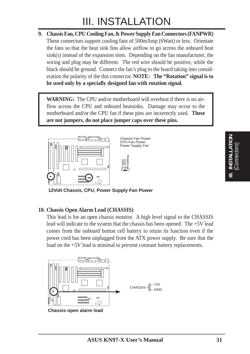**9. Chassis Fan, CPU Cooling Fan, & Power Supply Fan Connectors (FANPWR)** These connectors support cooling fans of 500mAmp (6Watt) or less. Orientate the fans so that the heat sink fins allow airflow to go across the onboard heat sink(s) instead of the expansion slots. Depending on the fan manufacturer, the wiring and plug may be different. The red wire should be positive, while the black should be ground. Connect the fan's plug to the board taking into consideration the polarity of the this connector. **NOTE: The "Rotation" signal is to be used only by a specially designed fan with rotation signal.**

**WARNING:** The CPU and/or motherboard will overheat if there is no airflow across the CPU and onboard heatsinks. Damage may occur to the motherboard and/or the CPU fan if these pins are incorrectly used. **These are not jumpers, do not place jumper caps over these pins.**



**12Volt Chassis, CPU, Power Supply Fan Power**

#### **10. Chassis Open Alarm Lead (CHASSIS)**

This lead is for an open chassis monitor. A high level signal to the CHASSIS lead will indicate to the system that the chassis has been opened. The +5V lead comes from the onboard button cell battery to retain its function even if the power cord has been unplugged from the ATX power supply. Be sure that the load on the +5V lead is minimal to prevent constant battery replacements.

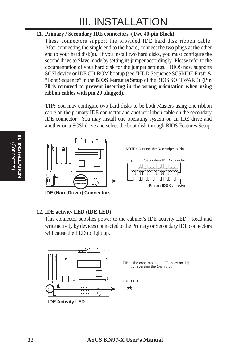# III. INSTALLATION

#### **11. Primary / Secondary IDE connectors (Two 40-pin Block)**

These connectors support the provided IDE hard disk ribbon cable. After connecting the single end to the board, connect the two plugs at the other end to your hard disk(s). If you install two hard disks, you must configure the second drive to Slave mode by setting its jumper accordingly. Please refer to the documentation of your hard disk for the jumper settings. BIOS now supports SCSI device or IDE CD-ROM bootup (see "HDD Sequence SCSI/IDE First" & "Boot Sequence" in the **BIOS Features Setup** of the BIOS SOFTWARE) **(Pin 20 is removed to prevent inserting in the wrong orientation when using ribbon cables with pin 20 plugged).**

**TIP:** You may configure two hard disks to be both Masters using one ribbon cable on the primary IDE connector and another ribbon cable on the secondary IDE connector. You may install one operating system on an IDE drive and another on a SCSI drive and select the boot disk through BIOS Features Setup.



#### **12. IDE activity LED (IDE LED)**

This connector supplies power to the cabinet's IDE activity LED. Read and write activity by devices connected to the Primary or Secondary IDE connectors will cause the LED to light up.

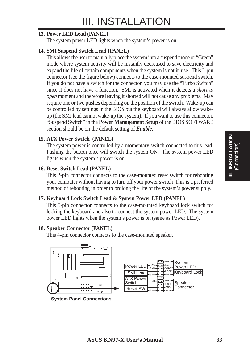#### **13. Power LED Lead (PANEL)**

The system power LED lights when the system's power is on.

#### **14. SMI Suspend Switch Lead (PANEL)**

This allows the user to manually place the system into a suspend mode or "Green" mode where system activity will be instantly decreased to save electricity and expand the life of certain components when the system is not in use. This 2-pin connector (see the figure below) connects to the case-mounted suspend switch. If you do not have a switch for the connector, you may use the "Turbo Switch" since it does not have a function. SMI is activated when it detects a *short to open* moment and therefore leaving it shorted will not cause any problems. May require one or two pushes depending on the position of the switch. Wake-up can be controlled by settings in the BIOS but the keyboard will always allow wakeup (the SMI lead cannot wake-up the system). If you want to use this connector, "Suspend Switch" in the **Power Management Setup** of the BIOS SOFTWARE section should be on the default setting of *Enable.*

#### **15. ATX Power Switch (PANEL)**

The system power is controlled by a momentary switch connected to this lead. Pushing the button once will switch the system ON. The system power LED lights when the system's power is on.

#### **16. Reset Switch Lead (PANEL)**

This 2-pin connector connects to the case-mounted reset switch for rebooting your computer without having to turn off your power switch This is a preferred method of rebooting in order to prolong the life of the system's power supply.

#### **17. Keyboard Lock Switch Lead & System Power LED (PANEL)**

This 5-pin connector connects to the case-mounted keyboard lock switch for locking the keyboard and also to connect the system power LED. The system power LED lights when the system's power is on (same as Power LED).

#### **18. Speaker Connector (PANEL)**

This 4-pin connector connects to the case-mounted speaker.



**System Panel Connections**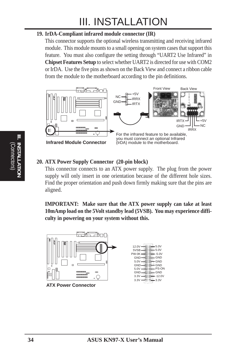#### **19. IrDA-Compliant infrared module connector (IR)**

This connector supports the optional wireless transmitting and receiving infrared module. This module mounts to a small opening on system cases that support this feature. You must also configure the setting through "UART2 Use Infrared" in **Chipset Features Setup** to select whether UART2 is directed for use with COM2 or IrDA. Use the five pins as shown on the Back View and connect a ribbon cable from the module to the motherboard according to the pin definitions.



#### **20. ATX Power Supply Connector (20-pin block)**

This connector connects to an ATX power supply. The plug from the power supply will only insert in one orientation because of the different hole sizes. Find the proper orientation and push down firmly making sure that the pins are aligned.

**IMPORTANT: Make sure that the ATX power supply can take at least 10mAmp load on the 5Volt standby lead (5VSB). You may experience difficulty in powering on your system without this.**

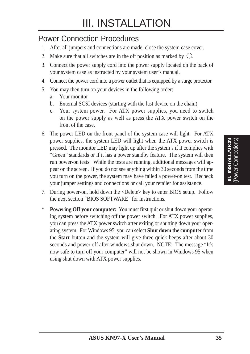## Power Connection Procedures

- 1. After all jumpers and connections are made, close the system case cover.
- 2. Make sure that all switches are in the off position as marked by  $\bigcirc$ .
- 3. Connect the power supply cord into the power supply located on the back of your system case as instructed by your system user's manual.
- 4. Connect the power cord into a power outlet that is equipped by a surge protector.
- 5. You may then turn on your devices in the following order:
	- a. Your monitor
	- b. External SCSI devices (starting with the last device on the chain)
	- c. Your system power. For ATX power supplies, you need to switch on the power supply as well as press the ATX power switch on the front of the case.
- 6. The power LED on the front panel of the system case will light. For ATX power supplies, the system LED will light when the ATX power switch is pressed. The monitor LED may light up after the system's if it complies with "Green" standards or if it has a power standby feature. The system will then run power-on tests. While the tests are running, additional messages will appear on the screen. If you do not see anything within 30 seconds from the time you turn on the power, the system may have failed a power-on test. Recheck your jumper settings and connections or call your retailer for assistance.
- 7. During power-on, hold down the <Delete> key to enter BIOS setup. Follow the next section "BIOS SOFTWARE" for instructions.
- **\* Powering Off your computer:** You must first quit or shut down your operating system before switching off the power switch. For ATX power supplies, you can press the ATX power switch after exiting or shutting down your operating system. For Windows 95, you can select **Shut down the computer** from the **Start** button and the system will give three quick beeps after about 30 seconds and power off after windows shut down. NOTE: The message "It's now safe to turn off your computer" will not be shown in Windows 95 when using shut down with ATX power supplies.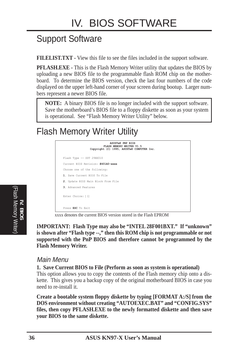# IV. BIOS SOFTWARE

## Support Software

**FILELIST.TXT -** View this file to see the files included in the support software.

**PFLASH.EXE -** This is the Flash Memory Writer utility that updates the BIOS by uploading a new BIOS file to the programmable flash ROM chip on the motherboard. To determine the BIOS version, check the last four numbers of the code displayed on the upper left-hand corner of your screen during bootup. Larger numbers represent a newer BIOS file.

**NOTE:** A binary BIOS file is no longer included with the support software. Save the motherboard's BIOS file to a floppy diskette as soon as your system is operational. See "Flash Memory Writer Utility" below.

# Flash Memory Writer Utility

| <b>ASUSTeK PNP BIOS</b><br>FLASH MEMORY WRITER V1.5<br>Copyright (C) 1995, ASUSTeK COMPUTER Inc. |
|--------------------------------------------------------------------------------------------------|
| Flash Type -- SST 29EE010                                                                        |
| Current BIOS Revision: #401A0-xxxx                                                               |
| Choose one of the following:                                                                     |
| 1. Save Current BIOS To File                                                                     |
| 2. Update BIOS Main Block From File                                                              |
| 3. Advanced Features                                                                             |
| Enter Choice: [1]                                                                                |
| Press ESC To Exit                                                                                |

xxxx denotes the current BIOS version stored in the Flash EPROM

**IMPORTANT: Flash Type may also be "INTEL 28F001BXT." If "unknown" is shown after "Flash type --," then this ROM chip is not programmable or not supported with the PnP BIOS and therefore cannot be programmed by the Flash Memory Writer.**

### Main Menu

**1. Save Current BIOS to File (Perform as soon as system is operational)**

This option allows you to copy the contents of the Flash memory chip onto a diskette. This gives you a backup copy of the original motherboard BIOS in case you need to re-install it.

**Create a bootable system floppy diskette by typing [FORMAT A:/S] from the DOS environment without creating "AUTOEXEC.BAT" and "CONFIG.SYS" files, then copy PFLASH.EXE to the newly formatted diskette and then save your BIOS to the same diskette.**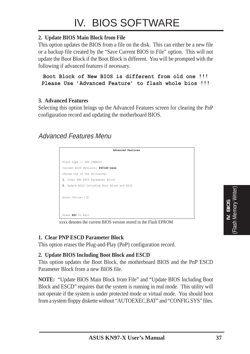#### **2. Update BIOS Main Block from File**

This option updates the BIOS from a file on the disk. This can either be a new file or a backup file created by the "Save Current BIOS to File" option. This will not update the Boot Block if the Boot Block is different. You will be prompted with the following if advanced features if necessary.

```
Boot Block of New BIOS is different from old one !!!
Please Use 'Advanced Feature' to flash whole bios !!!
```
#### **3. Advanced Features**

Selecting this option brings up the Advanced Features screen for clearing the PnP configuration record and updating the motherboard BIOS.

### Advanced Features Menu

| Advanced Features                            |  |
|----------------------------------------------|--|
|                                              |  |
| Flash Type -- SST 29EE010                    |  |
| Current BIOS Revision: #401A0-xxxx           |  |
| Choose one of the following:                 |  |
| 1. Clear PNP ESCD Parameter Block            |  |
| 2. Update BIOS Including Boot Block and ESCD |  |
|                                              |  |
| Enter Choice: [2]                            |  |
|                                              |  |
|                                              |  |
| Press ESC To Exit                            |  |

xxxx denotes the current BIOS version stored in the Flash EPROM

#### **1. Clear PNP ESCD Parameter Block**

This option erases the Plug-and-Play (PnP) configuration record.

#### **2. Update BIOS Including Boot Block and ESCD**

This option updates the Boot Block, the motherboard BIOS and the PnP ESCD Parameter Block from a new BIOS file.

**NOTE:** "Update BIOS Main Block from File" and "Update BIOS Including Boot Block and ESCD" requires that the system is running in real mode. This utility will not operate if the system is under protected mode or virtual mode. You should boot from a system floppy diskette without "AUTOEXEC.BAT" and "CONFIG.SYS" files.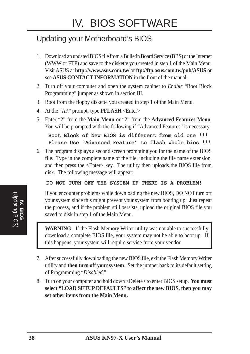## Updating your Motherboard's BIOS

- 1. Download an updated BIOS file from a Bulletin Board Service (BBS) or the Internet (WWW or FTP) and save to the diskette you created in step 1 of the Main Menu. Visit ASUS at **http://www.asus.com.tw/** or **ftp://ftp.asus.com.tw/pub/ASUS** or see **ASUS CONTACT INFORMATION** in the front of the manual.
- 2. Turn off your computer and open the system cabinet to *Enable* "Boot Block Programming" jumper as shown in section III.
- 3. Boot from the floppy diskette you created in step 1 of the Main Menu.
- 4. At the "A:\" prompt, type **PFLASH** <Enter>
- 5. Enter "2" from the **Main Menu** or "2" from the **Advanced Features Menu**. You will be prompted with the following if "Advanced Features" is necessary.

**Boot Block of New BIOS is different from old one !!! Please Use 'Advanced Feature' to flash whole bios !!!**

6. The program displays a second screen prompting you for the name of the BIOS file. Type in the complete name of the file, including the file name extension, and then press the <Enter> key. The utility then uploads the BIOS file from disk. The following message will appear:

#### **DO NOT TURN OFF THE SYSTEM IF THERE IS A PROBLEM!**

If you encounter problems while downloading the new BIOS, DO NOT turn off your system since this might prevent your system from booting up. Just repeat the process, and if the problem still persists, upload the original BIOS file you saved to disk in step 1 of the Main Menu.

**WARNING:** If the Flash Memory Writer utility was not able to successfully download a complete BIOS file, your system may not be able to boot up. If this happens, your system will require service from your vendor.

- 7. After successfully downloading the new BIOS file, exit the Flash Memory Writer utility and **then turn off your system**. Set the jumper back to its default setting of Programming "*Disabled*."
- 8. Turn on your computer and hold down <Delete> to enter BIOS setup. **You must select "LOAD SETUP DEFAULTS" to affect the new BIOS, then you may set other items from the Main Menu.**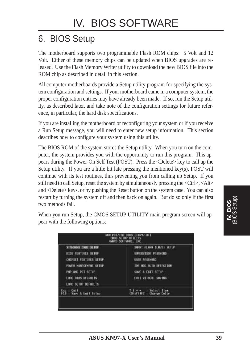## 6. BIOS Setup

The motherboard supports two programmable Flash ROM chips: 5 Volt and 12 Volt. Either of these memory chips can be updated when BIOS upgrades are released. Use the Flash Memory Writer utility to download the new BIOS file into the ROM chip as described in detail in this section.

All computer motherboards provide a Setup utility program for specifying the system configuration and settings. If your motherboard came in a computer system, the proper configuration entries may have already been made. If so, run the Setup utility, as described later, and take note of the configuration settings for future reference, in particular, the hard disk specifications.

If you are installing the motherboard or reconfiguring your system or if you receive a Run Setup message, you will need to enter new setup information. This section describes how to configure your system using this utility.

The BIOS ROM of the system stores the Setup utility. When you turn on the computer, the system provides you with the opportunity to run this program. This appears during the Power-On Self Test (POST). Press the <Delete> key to call up the Setup utility. If you are a little bit late pressing the mentioned key(s), POST will continue with its test routines, thus preventing you from calling up Setup. If you still need to call Setup, reset the system by simultaneously pressing the  $\langle \text{Ctrl} \rangle$ ,  $\langle \text{Alt} \rangle$ and <Delete> keys, or by pushing the Reset button on the system case. You can also restart by turning the system off and then back on again. But do so only if the first two methods fail.

When you run Setup, the CMOS SETUP UTILITY main program screen will appear with the following options:

| STINCARD CNUS SETUP<br><b>B105 FEATURES SETUP</b><br>CHIPSET FEATURES SETUP<br>PONER MANAGEMENT SETUP<br>PNP AND PCT SETUP<br>LORD BIDS DEFAULTS<br>LODD SETUP DEFAILTS | SMART ALARM (LN78) SETUP<br>SUPERVISOR PASSNORD<br><b>USER PRSSHORD</b><br>IDE HOD RUTO DETECTION<br>SINE & EKIT SETUP<br><b>EXIT VITHOUT SBVING</b> |
|-------------------------------------------------------------------------------------------------------------------------------------------------------------------------|------------------------------------------------------------------------------------------------------------------------------------------------------|
| Ouit                                                                                                                                                                    | Select Item                                                                                                                                          |
| Save & Exit Setup                                                                                                                                                       | <b>Change Color</b>                                                                                                                                  |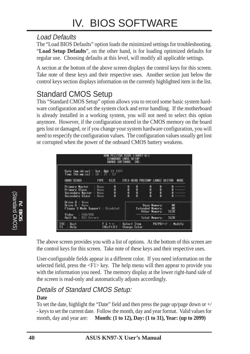### Load Defaults

The "Load BIOS Defaults" option loads the minimized settings for troubleshooting. "**Load Setup Defaults**", on the other hand, is for loading optimized defaults for regular use. Choosing defaults at this level, will modify all applicable settings.

A section at the bottom of the above screen displays the control keys for this screen. Take note of these keys and their respective uses. Another section just below the control keys section displays information on the currently highlighted item in the list.

## Standard CMOS Setup

This "Standard CMOS Setup" option allows you to record some basic system hardware configuration and set the system clock and error handling. If the motherboard is already installed in a working system, you will not need to select this option anymore. However, if the configuration stored in the CMOS memory on the board gets lost or damaged, or if you change your system hardware configuration, you will need to respecify the configuration values. The configuration values usually get lost or corrupted when the power of the onboard CMOS battery weakens.

|                                                                                                                                 | STANDARD CNOS SETUP<br>AWARD SOFTWARE THE |      |                             | -82 F                                           |                     |      |        |
|---------------------------------------------------------------------------------------------------------------------------------|-------------------------------------------|------|-----------------------------|-------------------------------------------------|---------------------|------|--------|
| $\frac{5at}{10}$ , $\frac{6pt}{27}$ , $\frac{19}{57}$ , 1997<br>Date (mm:dd:vv)<br>Time (hh:mm:ss)<br>HARD DISKS<br><b>TVPE</b> | <b>STZE</b>                               |      |                             | EVES HEAD PRECOMP LANDZ SECTOR                  |                     |      | HODE   |
| Notiat<br>Primary Master<br>Primary Slave<br>None<br>Secondary Master<br>Nuos<br>Secondary Slave<br><b>Notiat</b>               |                                           | 8888 | 000                         | 计自动设备                                           | 一日の中                | あのあの |        |
| Drive R<br>:: None<br>Drive 8 : None<br>Floppy 3 Mode Support : Disabled<br>E111/VBR<br>Video                                   |                                           |      |                             | <b>Extended Memory:</b><br><b>Other Nexory:</b> | <b>Base Newory:</b> | 5128 |        |
| <b>HII Errurs</b><br>Hali On                                                                                                    |                                           |      |                             | Total Memory:                                   |                     | 512K |        |
| 腎<br><b>Duit</b><br>Help                                                                                                        |                                           |      | Select Item<br>Change Color |                                                 | PU/PD/+/-           |      | Modify |

**IV. BIOS**<br>(Standard CMOS) (Standard CMOS)

> The above screen provides you with a list of options. At the bottom of this screen are the control keys for this screen. Take note of these keys and their respective uses.

> User-configurable fields appear in a different color. If you need information on the selected field, press the  $\langle F1 \rangle$  key. The help menu will then appear to provide you with the information you need. The memory display at the lower right-hand side of the screen is read-only and automatically adjusts accordingly.

### Details of Standard CMOS Setup: **Date**

To set the date, highlight the "Date" field and then press the page up/page down or  $+/$ - keys to set the current date. Follow the month, day and year format. Valid values for month, day and year are: **Month: (1 to 12), Day: (1 to 31), Year: (up to 2099)**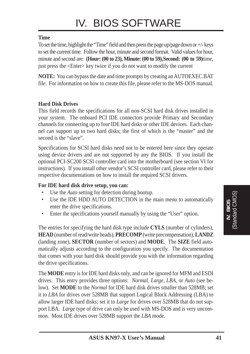#### **Time**

To set the time, highlight the "Time" field and then press the page up/page down or  $+/-$  keys to set the current time. Follow the hour, minute and second format. Valid values for hour, minute and second are: **(Hour: (00 to 23), Minute: (00 to 59),Second: (00 to 59)**time, just press the <Enter> key twice if you do not want to modify the current

**NOTE:** You can bypass the date and time prompts by creating an AUTOEXEC.BAT file. For information on how to create this file, please refer to the MS-DOS manual.

#### **Hard Disk Drives**

This field records the specifications for all non-SCSI hard disk drives installed in your system. The onboard PCI IDE connectors provide Primary and Secondary channels for connecting up to four IDE hard disks or other IDE devices. Each channel can support up to two hard disks; the first of which is the "master" and the second is the "slave".

Specifications for SCSI hard disks need not to be entered here since they operate using device drivers and are not supported by any the BIOS. If you install the optional PCI-SC200 SCSI controller card into the motherboard (see section VI for instructions). If you install other vendor's SCSI controller card, please refer to their respective documentations on how to install the required SCSI drivers.

#### **For IDE hard disk drive setup, you can:**

- Use the *Auto* setting for detection during bootup.
- Use the IDE HDD AUTO DETECTION in the main menu to automatically enter the drive specifications.
- Enter the specifications yourself manually by using the "User" option.

The entries for specifying the hard disk type include **CYLS** (number of cylinders), **HEAD** (number of read/write heads), **PRECOMP** (write precompensation), **LANDZ** (landing zone), **SECTOR** (number of sectors) and **MODE**. The **SIZE** field automatically adjusts according to the configuration you specify. The documentation that comes with your hard disk should provide you with the information regarding the drive specifications.

The **MODE** entry is for IDE hard disks only, and can be ignored for MFM and ESDI drives. This entry provides three options: *Normal, Large, LBA*, or *Auto* (see below). Set **MODE** to the *Normal* for IDE hard disk drives smaller than 528MB; set it to *LBA* for drives over 528MB that support Logical Block Addressing (LBA) to allow larger IDE hard disks; set it to *Large* for drives over 528MB that do not support LBA. *Large* type of drive can only be used with MS-DOS and is very uncommon. Most IDE drives over 528MB support the *LBA* mode.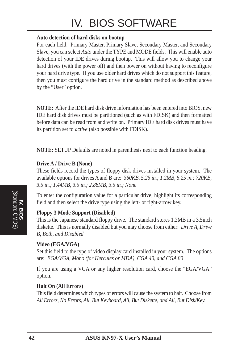# IV. BIOS SOFTWARE

#### **Auto detection of hard disks on bootup**

For each field: Primary Master, Primary Slave, Secondary Master, and Secondary Slave, you can select *Auto* under the TYPE and MODE fields. This will enable auto detection of your IDE drives during bootup. This will allow you to change your hard drives (with the power off) and then power on without having to reconfigure your hard drive type. If you use older hard drives which do not support this feature, then you must configure the hard drive in the standard method as described above by the "User" option.

**NOTE:** After the IDE hard disk drive information has been entered into BIOS, new IDE hard disk drives must be partitioned (such as with FDISK) and then formatted before data can be read from and write on. Primary IDE hard disk drives must have its partition set to *active* (also possible with FDISK).

**NOTE:** SETUP Defaults are noted in parenthesis next to each function heading.

#### **Drive A / Drive B (None)**

These fields record the types of floppy disk drives installed in your system. The available options for drives A and B are: *360KB, 5.25 in.; 1.2MB, 5.25 in.; 720KB, 3.5 in.; 1.44MB, 3.5 in.; 2.88MB, 3.5 in.; None*

To enter the configuration value for a particular drive, highlight its corresponding field and then select the drive type using the left- or right-arrow key.

#### **Floppy 3 Mode Support (Disabled)**

This is the Japanese standard floppy drive. The standard stores 1.2MB in a 3.5inch diskette. This is normally disabled but you may choose from either: *Drive A, Drive B, Both, and Disabled*

#### **Video (EGA/VGA)**

Set this field to the type of video display card installed in your system. The options are: *EGA/VGA, Mono (for Hercules or MDA), CGA 40, and CGA 80*

If you are using a VGA or any higher resolution card, choose the "EGA/VGA" option.

#### **Halt On (All Errors)**

This field determines which types of errors will cause the system to halt. Choose from *All Errors, No Errors, All, But Keyboard, All, But Diskette, and All, But Disk/Key.*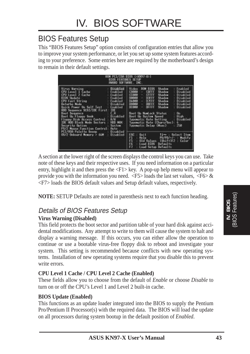## BIOS Features Setup

This "BIOS Features Setup" option consists of configuration entries that allow you to improve your system performance, or let you set up some system features according to your preference. Some entries here are required by the motherboard's design to remain in their default settings.

| PCL/ISR BIBS ( <rm97-r>)<br/>HIOS FEATURES SETUP<br/>BARRO SOFTWARE INC.</rm97-r>                                                                                                                                                                                                                                                                                                                                                                                                                                                                                                                                  |                                                                                                                                                                                                                                                                                                                                                                                                                                                                                                                                                                                                                                                                             |  |  |
|--------------------------------------------------------------------------------------------------------------------------------------------------------------------------------------------------------------------------------------------------------------------------------------------------------------------------------------------------------------------------------------------------------------------------------------------------------------------------------------------------------------------------------------------------------------------------------------------------------------------|-----------------------------------------------------------------------------------------------------------------------------------------------------------------------------------------------------------------------------------------------------------------------------------------------------------------------------------------------------------------------------------------------------------------------------------------------------------------------------------------------------------------------------------------------------------------------------------------------------------------------------------------------------------------------------|--|--|
| Virus Marnino<br>Disabled<br>CPU Love1 1 Cache<br>Enabled<br>CPU Level 2 Cache<br>Enabled<br><b>BIOS</b> Update<br>Enabled<br>CPU Fast String<br>Enabled<br><b>Deturbo Node</b><br>Dispbled<br><b>Quick Power On Self lest</b><br><b>Enabled</b><br>HDD Sequence SCSI/IDE First:<br>™<br>C.R<br><b>Boot Sequence</b><br>Boot Up Floppy Seek<br>Disabled<br>化溴<br>Ficouv Disk Hocess Control<br>HDD MEX<br><b>OE HOO Block Mode Sectors</b><br>Security Option<br>System<br><b>PS/2 Mouse Function Control:</b><br>Huto<br><b>PCL/VGR Palette Snoop</b><br>Disabled<br>OS/2 Onboard Memory > 64M<br><b>Uisabled</b> | Video<br><b>ROM B10S</b><br>Enabled<br>Shadow<br>鼺<br>C3000<br>CC000<br>D0000<br>D4000<br>Shadow<br>Disabled<br>Shadow<br>Disabled<br>۰<br>DELFI<br>Disabled<br>Shados<br>躃<br>Shadow<br>Disabled<br>08000<br><b>Shadow</b><br>Disabled<br>DEEE<br><b>DOINE</b><br>Disabled<br>Shadow<br><b>Boot Up MumLock Status</b><br>0n<br><b>High</b><br>Boot Up System Speed<br>ivpomatic Rata Setting<br>Disabled<br>Typematic Rate (Chars/Sec):<br>ь<br>258<br>Typematic Delay (Msec)<br>Select Item<br>650<br>Ouil<br>Time in<br>昆<br>Help<br>PU/PO/+/<br>Modify<br>(Shift)F2<br><b>Old Values</b><br>Color<br>F6<br>Load BIDS<br>Defaults<br>F7<br><b>Load Setup</b><br>Defaults |  |  |

A section at the lower right of the screen displays the control keys you can use. Take note of these keys and their respective uses. If you need information on a particular entry, highlight it and then press the <F1> key. A pop-up help menu will appear to provide you with the information you need.  $\langle F5 \rangle$  loads the last set values,  $\langle F6 \rangle \&$ <F7> loads the BIOS default values and Setup default values, respectively.

**NOTE:** SETUP Defaults are noted in parenthesis next to each function heading.

## Details of BIOS Features Setup

#### **Virus Warning (Disabled)**

This field protects the boot sector and partition table of your hard disk against accidental modifications. Any attempt to write to them will cause the system to halt and display a warning message. If this occurs, you can either allow the operation to continue or use a bootable virus-free floppy disk to reboot and investigate your system. This setting is recommended because conflicts with new operating systems. Installation of new operating systems require that you disable this to prevent write errors.

#### **CPU Level 1 Cache / CPU Level 2 Cache (Enabled)**

These fields allow you to choose from the default of *Enable* or choose *Disable* to turn on or off the CPU's Level 1 and Level 2 built-in cache.

#### **BIOS Update (Enabled)**

This functions as an update loader integrated into the BIOS to supply the Pentium Pro/Pentium II Processor(s) with the required data. The BIOS will load the update on all processors during system bootup in the default position of *Enabled*.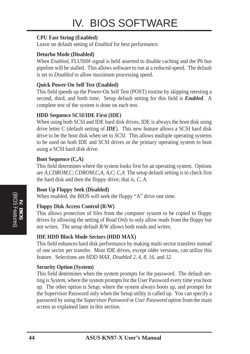#### **CPU Fast String (Enabled)**

Leave on default setting of *Enabled* for best performance.

#### **Deturbo Mode (Disabled)**

When *Enabled*, FLUSH# signal is held asserted to disable caching and the P6 bus pipeline will be stalled. This allows software to run at a reduced-speed. The default is set to *Disabled* to allow maximum processing speed.

#### **Quick Power On Self Test (Enabled)**

This field speeds up the Power-On Self Test (POST) routine by skipping retesting a second, third, and forth time. Setup default setting for this field is *Enabled*. A complete test of the system is done on each test.

#### **HDD Sequence SCSI/IDE First (IDE)**

When using both SCSI and IDE hard disk drives, IDE is always the boot disk using drive letter C (default setting of *IDE*). This new feature allows a SCSI hard disk drive to be the boot disk when set to *SCSI*. This allows multiple operating systems to be used on both IDE and SCSI drives or the primary operating system to boot using a SCSI hard disk drive.

#### **Boot Sequence (C,A)**

This field determines where the system looks first for an operating system. Options are *A,CDROM,C*; *CDROM,C,A*; *A,C*; *C,A* The setup default setting is to check first the hard disk and then the floppy drive; that is, *C, A*.

#### **Boot Up Floppy Seek (Disabled)**

When enabled, the BIOS will seek the floppy "A" drive one time.

#### **Floppy Disk Access Control (R/W)**

This allows protection of files from the computer system to be copied to floppy drives by allowing the setting of *Read Only* to only allow reads from the floppy but not writes. The setup default *R/W* allows both reads and writes.

#### **IDE HDD Block Mode Sectors (HDD MAX)**

This field enhances hard disk performance by making multi-sector transfers instead of one sector per transfer. Most IDE drives, except older versions, can utilize this feature. Selections are *HDD MAX, Disabled 2, 4, 8, 16,* and *32*.

#### **Security Option (System)**

This field determines when the system prompts for the password. The default setting is *System*, where the system prompts for the User Password every time you boot up. The other option is *Setup*, where the system always boots up, and prompts for the Supervisor Password only when the Setup utility is called up. You can specify a password by using the *Supervisor Password* or *User Password* option from the main screen as explained later in this section.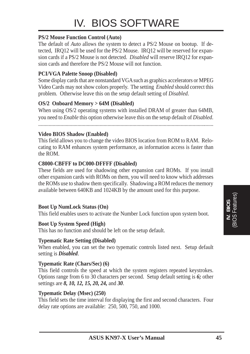#### **PS/2 Mouse Function Control (Auto)**

The default of *Auto* allows the system to detect a PS/2 Mouse on bootup. If detected, IRQ12 will be used for the PS/2 Mouse. IRQ12 will be reserved for expansion cards if a PS/2 Mouse is not detected. *Disabled* will reserve IRQ12 for expansion cards and therefore the PS/2 Mouse will not function.

#### **PCI/VGA Palette Snoop (Disabled)**

Some display cards that are nonstandard VGA such as graphics accelerators or MPEG Video Cards may not show colors properly. The setting *Enabled* should correct this problem. Otherwise leave this on the setup default setting of *Disabled*.

#### **OS/2 Onboard Memory > 64M (Disabled)**

When using OS/2 operating systems with installed DRAM of greater than 64MB, you need to *Enable* this option otherwise leave this on the setup default of *Disabled*.

......................................................................................................................................

#### **Video BIOS Shadow (Enabled)**

This field allows you to change the video BIOS location from ROM to RAM. Relocating to RAM enhances system performance, as information access is faster than the ROM.

#### **C8000-CBFFF to DC000-DFFFF (Disabled)**

These fields are used for shadowing other expansion card ROMs. If you install other expansion cards with ROMs on them, you will need to know which addresses the ROMs use to shadow them specifically. Shadowing a ROM reduces the memory available between 640KB and 1024KB by the amount used for this purpose.

#### **Boot Up NumLock Status (On)**

This field enables users to activate the Number Lock function upon system boot.

#### **Boot Up System Speed (High)**

This has no function and should be left on the setup default.

#### **Typematic Rate Setting (Disabled)**

When enabled, you can set the two typematic controls listed next. Setup default setting is *Disabled*.

#### **Typematic Rate (Chars/Sec) (6)**

This field controls the speed at which the system registers repeated keystrokes. Options range from 6 to 30 characters per second. Setup default setting is *6;* other settings are *8, 10, 12, 15, 20, 24,* and *30*.

#### **Typematic Delay (Msec) (250)**

This field sets the time interval for displaying the first and second characters. Four delay rate options are available: 250, 500, 750, and 1000.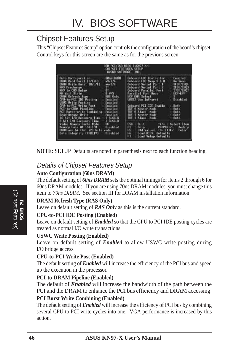## Chipset Features Setup

This "Chipset Features Setup" option controls the configuration of the board's chipset. Control keys for this screen are the same as for the previous screen.

| :L/ISA BIOS ( <kn97-k))<br>CILIPSET FEATURES SETUP<br/><b>ANRAD SOFTWARE INC.</b></kn97-k))<br>                                                                                                                                                                                                                                                                                                                                                                                                                                                         |                                                                                                                                                                                                                                                                                                                                                                                                                                                                                                                           |  |  |
|---------------------------------------------------------------------------------------------------------------------------------------------------------------------------------------------------------------------------------------------------------------------------------------------------------------------------------------------------------------------------------------------------------------------------------------------------------------------------------------------------------------------------------------------------------|---------------------------------------------------------------------------------------------------------------------------------------------------------------------------------------------------------------------------------------------------------------------------------------------------------------------------------------------------------------------------------------------------------------------------------------------------------------------------------------------------------------------------|--|--|
| <b>Euto Configuration</b><br>GBoss DRIM<br>DRAM Read Burst (U/E/F)<br>x3/4/4<br>▎<br>DRIM Mrite Burst (B/E/F)<br>uhJhJh<br>RAS Precharge<br>쾳<br>RAS to CAS Delay<br><b>B W/S</b><br><b>MA Mail State</b><br>DRIM Refresh Type<br>RAS Only<br>CPU-to-PCI IDE Posting<br>Enabled<br><b>USWC Write Posting</b><br>Enabled<br>I<br>CPU-to-PCI Write Post<br>Enabled<br>PCI-to-DRHM Pipeline<br>-nabled<br>I<br><b>PCI Burst Write Combining:</b><br>Enabled<br>Read-Around-Write<br>Enabled<br>16-bit I/O Recovery Time<br><b>BUSELK</b><br><b>BUSCI K</b> | Onboard FDC Controller<br>Enabled<br><b>Onboard FDC Swap H 5 B</b><br>No Swap<br>3F8H/TROA<br><b>Grooard Serial Port I</b><br>Onboard Serial Port 2<br><b>2F8N/TR</b><br>378H/IR0<br>Onboard Parallel Port<br>ECP+EPP<br>Parallel Port Mode<br><b>ECP DMR Select</b><br>Disabled<br>UEIZ Use Infrared<br>Both<br><b>Orboard PCI IDE Enable</b><br><b>8 Naster Node</b><br>Huto<br><b>IDE</b><br>0 Slave Mode<br>me<br>Huto<br>IDE<br>т<br><b>Huto</b><br><b>Naster Node</b><br>$1.81$ ave<br>TOE.<br>Mode<br><b>Histo</b> |  |  |
| 8-bit 1/8 Recovery lime<br>Video Memory Cache Mode<br>œ<br>Memory Hole Rt 15M-16M<br>Disabled<br>DRSM are 64 (Not 72) bits<br>wide<br>Data Integrity (PARITY)<br>Disabled                                                                                                                                                                                                                                                                                                                                                                               | 550<br>Select Item<br>71 + + + +<br>Ouil.<br>FI<br>Help.<br>アリノアロノ・ノ<br>Modify<br>F5<br><b>Old Values</b><br>(Shift)F2<br>Color<br>F6<br>Load BIDS<br>Defaults<br>Load Satup<br>Defaults                                                                                                                                                                                                                                                                                                                                  |  |  |

**NOTE:** SETUP Defaults are noted in parenthesis next to each function heading.

### Details of Chipset Features Setup

#### **Auto Configuration (60ns DRAM)**

The default setting of *60ns DRAM* sets the optimal timings for items 2 through 6 for 60ns DRAM modules. If you are using 70ns DRAM modules, you must change this item to *70ns DRAM*. See section III for DRAM installation information.

#### **DRAM Refresh Type (RAS Only)**

Leave on default setting of *RAS Only* as this is the current standard.

#### **CPU-to-PCI IDE Posting (Enabled)**

Leave on default setting of *Enabled* so that the CPU to PCI IDE posting cycles are treated as normal I/O write transactions.

#### **USWC Write Posting (Enabled)**

Leave on default setting of *Enabled* to allow USWC write posting during I/O bridge access.

#### **CPU-to-PCI Write Post (Enabled)**

The default setting of *Enabled* will increase the efficiency of the PCI bus and speed up the execution in the processor.

#### **PCI-to-DRAM Pipeline (Enabled)**

The default of *Enabled* will increase the bandwidth of the path between the PCI and the DRAM to enhance the PCI bus efficiency and DRAM accessing.

#### **PCI Burst Write Combining (Enabled)**

The default setting of *Enabled* will increase the efficiency of PCI bus by combining several CPU to PCI write cycles into one. VGA performance is increased by this action.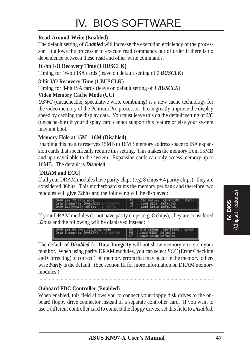#### **Read-Around-Write (Enabled)**

The default setting of *Enabled* will increase the execution efficiency of the processor. It allows the processor to execute read commands out of order if there is no dependence between these read and other write commands.

#### **16-bit I/O Recovery Time (1 BUSCLK)**

Timing for 16-bit ISA cards (leave on default setting of *1 BUSCLK*)

#### **8-bit I/O Recovery Time (1 BUSCLK)**

Timing for 8-bit ISA cards (leave on default setting of *1 BUSCLK*)

#### **Video Memory Cache Mode (UC)**

*USWC* (uncacheable, speculative write combining) is a new cache technology for the video memory of the Pentium Pro processor. It can greatly improve the display speed by caching the display data. You must leave this on the default setting of *UC* (uncacheable) if your display card cannot support this feature or else your system may not boot.

#### **Memory Hole at 15M - 16M (Disabled)**

Enabling this feature reserves 15MB to 16MB memory address space to ISA expansion cards that specifically require this setting. This makes the memory from 15MB and up unavailable to the system. Expansion cards can only access memory up to 16MB. The default is *Disabled*.

#### **[DRAM and ECC]**

If all your DRAM modules have parity chips  $(e.g. 8 chips + 4 parity chips)$ , they are considered 36bits. This motherboard sums the memory per bank and therefore two modules will give 72bits and the following will be displayed:



If your DRAM modules do not have parity chips (e.g. 8 chips), they are considered 32bits and the following will be displayed instead:



The default of *Disabled* for **Data Integrity** will not show memory errors on your monitor. When using parity DRAM modules, you can select *ECC* (Error Checking and Correcting) to correct 1 bit memory errors that may occur in the memory, otherwise *Parity* is the default. (See section III for more information on DRAM memory modules.)

....................................................................................................................................

#### **Onboard FDC Controller (Enabled)**

When enabled, this field allows you to connect your floppy disk drives to the onboard floppy drive connector instead of a separate controller card. If you want to use a different controller card to connect the floppy drives, set this field to *Disabled*.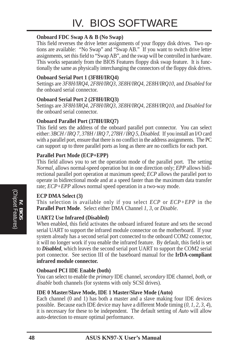#### **Onboard FDC Swap A & B (No Swap)**

This field reverses the drive letter assignments of your floppy disk drives. Two options are available: "No Swap" and "Swap AB." If you want to switch drive letter assignments, set this field to "Swap AB", and the swap will be controlled in hardware. This works separately from the BIOS Features floppy disk swap feature. It is functionally the same as physically interchanging the connectors of the floppy disk drives.

#### **Onboard Serial Port 1 (3F8H/IRQ4)**

Settings are *3F8H/IRQ4*, *2F8H/IRQ3, 3E8H/IRQ4, 2E8H/IRQ10,* and *Disabled* for the onboard serial connector.

#### **Onboard Serial Port 2 (2F8H/IRQ3)**

Settings are *3F8H/IRQ4, 2F8H/IRQ3*, *3E8H/IRQ4, 2E8H/IRQ10,* and *Disabled* for the onboard serial connector.

#### **Onboard Parallel Port (378H/IRQ7)**

This field sets the address of the onboard parallel port connector. You can select either: *3BCH / IRQ 7, 378H / IRQ 7, 278H / IRQ 5, Disabled.* If you install an I/O card with a parallel port, ensure that there is no conflict in the address assignments. The PC can support up to three parallel ports as long as there are no conflicts for each port.

#### **Parallel Port Mode (ECP+EPP)**

This field allows you to set the operation mode of the parallel port. The setting *Normal*, allows normal-speed operation but in one direction only; *EPP* allows bidirectional parallel port operation at maximum speed; *ECP* allows the parallel port to operate in bidirectional mode and at a speed faster than the maximum data transfer rate; *ECP+EPP* allows normal speed operation in a two-way mode.

#### **ECP DMA Select (3)**

This selection is available only if you select *ECP* or *ECP+EPP* in the **Parallel Port Mode**. Select either DMA Channel *1, 3*, or *Disable*.

#### **UART2 Use Infrared (Disabled)**

When enabled, this field activates the onboard infrared feature and sets the second serial UART to support the infrared module connector on the motherboard. If your system already has a second serial port connected to the onboard COM2 connector, it will no longer work if you enable the infrared feature. By default, this field is set to *Disabled*, which leaves the second serial port UART to support the COM2 serial port connector. See section III of the baseboard manual for the **IrDA-compliant infrared module connector.**

#### **Onboard PCI IDE Enable (both)**

You can select to enable the *primary* IDE channel, *secondary* IDE channel, *both*, or *disable* both channels (for systems with only SCSI drives).

#### **IDE 0 Master/Slave Mode, IDE 1 Master/Slave Mode (Auto)**

Each channel (0 and 1) has both a master and a slave making four IDE devices possible. Because each IDE device may have a different Mode timing (*0, 1, 2, 3, 4*), it is necessary for these to be independent. The default setting of *Auto* will allow auto-detection to ensure optimal performance.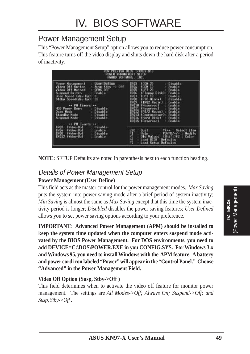## Power Management Setup

This "Power Management Setup" option allows you to reduce power consumption. This feature turns off the video display and shuts down the hard disk after a period of inactivity.

| PCL/ISH BIUS<br><b>LCKNA 1-10 1</b><br>илм<br><b>SETUP</b><br>PONER NANAGEMENT<br>AWARD SOFTWARE INC.                                                                                                       |                                                                                                                                                                                                                          |  |  |
|-------------------------------------------------------------------------------------------------------------------------------------------------------------------------------------------------------------|--------------------------------------------------------------------------------------------------------------------------------------------------------------------------------------------------------------------------|--|--|
| User Define<br><u> Power Management</u><br>Susp., Sthy -><br>DPWS OFF<br><b>DFf</b><br>Video Off Option<br>Video Off Method<br>Enable<br>Suspend Switch<br>Doze Speed (div by)<br>8.<br>Stabu Speed(div bu) | EROS<br>(COM 2)<br>(COM 1)<br>(LPT 2)<br>(Flappy Disk):<br>Disable<br>躐<br>Enable<br>Enable<br><b>IROS IROZ<br/>IROZ IRON IRONA</b><br>Enable<br>$\frac{(LPT-1)}{(RTC-0)}$<br>Enable<br>Disable<br>IRO2 Redirl<br>Emable |  |  |
| ** PM Timors **<br>HDD Power Down<br>Disable<br><b>Doze Mode</b><br>: Disable<br>Standby Mode<br>Disable<br>Disable<br>Suspend Mode                                                                         | Enable<br>Reserved)<br>H011<br>IR012<br>Enable<br>Reserved)<br>PS/2 Mouse)<br>Enable<br>IR013<br>Enable<br>(Coprocessor)<br><b>IR014</b><br>(Hard Disk)<br>Enable<br><b>IR015</b><br>Enable<br>(Reserved)                |  |  |
| ** PM Events:<br>$\rightarrow$<br>IROS<br>Disable<br>  Hake-Up J<br>EROA<br>(Wake-Up)<br>Enable<br>IROS<br>Disable<br>(Wake-Up)<br>Enable<br>IR012<br>(Wake-Up)                                             | 1985年12月<br>Ti** Select Item<br><b>Out 1</b><br>Help<br>$PU/PD/-/-$<br>Modify<br>(Shifif)F2<br><b>Old Values</b><br>Calor<br>Load BIDS<br>Defaults<br>Load Setup Defaults                                                |  |  |

**NOTE:** SETUP Defaults are noted in parenthesis next to each function heading.

### Details of Power Management Setup

#### **Power Management (User Define)**

This field acts as the master control for the power management modes. *Max Saving* puts the system into power saving mode after a brief period of system inactivity; *Min Saving* is almost the same as *Max Saving* except that this time the system inactivity period is longer; *Disabled* disables the power saving features; *User Defined* allows you to set power saving options according to your preference.

**IMPORTANT: Advanced Power Management (APM) should be installed to keep the system time updated when the computer enters suspend mode activated by the BIOS Power Management. For DOS environments, you need to add DEVICE=C:\DOS\POWER.EXE in you CONFIG.SYS. For Windows 3.x and Windows 95, you need to install Windows with the APM feature. A battery and power cord icon labeled "Power" will appear in the "Control Panel." Choose "Advanced" in the Power Management Field.**

#### **Video Off Option (Susp, Stby->Off )**

This field determines when to activate the video off feature for monitor power management. The settings are *All Modes->Off; Always On; Suspend->Off; and Susp, Stby->Off .*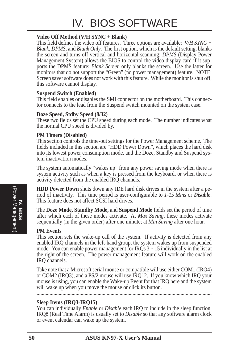# IV. BIOS SOFTWARE

#### **Video Off Method (V/H SYNC + Blank)**

This field defines the video off features. Three options are available: *V/H SYNC + Blank, DPMS,* and *Blank Only*. The first option, which is the default setting, blanks the screen and turns off vertical and horizontal scanning; *DPMS* (Display Power Management System) allows the BIOS to control the video display card if it supports the DPMS feature; *Blank Screen* only blanks the screen. Use the latter for monitors that do not support the "Green" (no power management) feature. NOTE: Screen saver software does not work with this feature. While the monitor is shut off, this software cannot display.

#### **Suspend Switch (Enabled)**

This field enables or disables the SMI connector on the motherboard. This connector connects to the lead from the Suspend switch mounted on the system case.

#### **Doze Speed, Stdby Speed (8/32)**

These two fields set the CPU speed during each mode. The number indicates what the normal CPU speed is divided by.

#### **PM Timers (Disabled)**

This section controls the time-out settings for the Power Management scheme. The fields included in this section are "HDD Power Down", which places the hard disk into its lowest power consumption mode, and the Doze, Standby and Suspend system inactivation modes.

The system automatically "wakes up" from any power saving mode when there is system activity such as when a key is pressed from the keyboard, or when there is activity detected from the enabled IRQ channels.

**HDD Power Down** shuts down any IDE hard disk drives in the system after a period of inactivity. This time period is user-configurable to *1-15 Mins* or *Disable*. This feature does not affect SCSI hard drives.

The **Doze Mode, Standby Mode,** and **Suspend Mode** fields set the period of time after which each of these modes activate. At *Max Saving*, these modes activate sequentially (in the given order) after one minute; at *Min Saving* after one hour.

#### **PM Events**

This section sets the wake-up call of the system. If activity is detected from any enabled IRQ channels in the left-hand group, the system wakes up from suspended mode. You can enable power management for IRQs  $3 \sim 15$  individually in the list at the right of the screen. The power management feature will work on the enabled IRQ channels.

Take note that a Microsoft serial mouse or compatible will use either COM1 (IRQ4) or COM2 (IRQ3), and a PS/2 mouse will use IRQ12. If you know which IRQ your mouse is using, you can enable the Wake-up Event for that IRQ here and the system will wake up when you move the mouse or click its button. .......................................................................................................................................

#### **Sleep Items (IRQ3-IRQ15)**

You can individually *Enable* or *Disable* each IRQ to include in the sleep function. IRQ8 (Real Time Alarm) is usually set to *Disable* so that any software alarm clock or event calendar can wake up the system.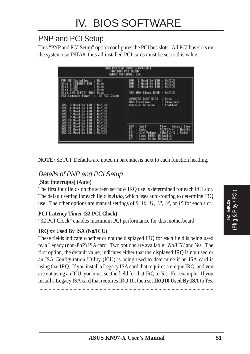## PNP and PCI Setup

This "PNP and PCI Setup" option configures the PCI bus slots. All PCI bus slots on the system use INTA#, thus all installed PCI cards must be set to this value.

| FCL/LSR BIBS ( <rm97-k>)<br/>нои<br/>PNP AND PCI SETUP<br/>ANARD SUFTWARE INC.</rm97-k>                                                                                                                                                                                                                                                                                                                                                                                                          |                                                                                                                                                                                                                           |  |  |
|--------------------------------------------------------------------------------------------------------------------------------------------------------------------------------------------------------------------------------------------------------------------------------------------------------------------------------------------------------------------------------------------------------------------------------------------------------------------------------------------------|---------------------------------------------------------------------------------------------------------------------------------------------------------------------------------------------------------------------------|--|--|
| Installed<br>No.<br>OS.<br>(RIGHT) IRU<br>Huto<br>5101<br>2<br>180<br><b>Hutto</b><br>lo1<br>ā<br>100<br>Huto<br>iot<br>4/5 (LEFT) IRO:<br>Huto.<br>Slot<br><b>PCI Latency Timer</b><br>32 PCI Clock<br>190<br>TSA<br>No/ICU<br>Used<br>Bu<br>а<br>No/ICU<br>IRO<br><b>TSA</b><br>-Bu<br><b>Used</b><br>No/TCU<br><b>TSR</b><br>Bu<br>a<br><b>Ilsed</b><br>No/ICU<br>No/ICU<br>ISA<br>Used<br>B <sub>0</sub><br>m<br><b>ISB</b><br>Bu<br>Used<br>No/TCU<br><b>ISR</b><br>Bu<br>18<br><b>Used</b> | No/TCU<br>1 Used By ISR<br>意思者<br>3 Used By ISR<br>No/TCU<br>No/TCD<br>5 Used By ISB<br>No/TCU<br><b>ISA HEN Block BASE</b><br>SYMBIOS SCSI BIOS<br><b>Huto</b><br>USB Tunction<br>Disabled<br>Passive Release<br>Enabled |  |  |
| No/TCU<br>ISR<br>Usad<br>Bu<br>No/TCU<br>188<br><b>Used</b><br>- 72<br>Bu<br><b>TSR</b><br>No/TCU<br><b>Used</b><br>Bu<br>I<br>No/TCU<br><b>ISA</b><br>IRO 15 Used By                                                                                                                                                                                                                                                                                                                            | 探月12時<br>Select Item<br>Ouil<br>7 Can<br>Help<br>PU/PO/+/<br>Modify<br>(Shift)F2<br><b>Old Values</b><br>Color<br>Load BIDS<br>Defaults<br>Defaults<br><b>Load Satup</b>                                                  |  |  |

**NOTE:** SETUP Defaults are noted in parenthesis next to each function heading.

## Details of PNP and PCI Setup

#### **[Slot Interrupts] (Auto)**

The first four fields on the screen set how IRQ use is determined for each PCI slot. The default setting for each field is *Auto*, which uses auto-routing to determine IRQ use. The other options are manual settings of *9, 10, 11, 12, 14,* or *15* for each slot.

#### **PCI Latency Timer (32 PCI Clock)**

"32 PCI Clock" enables maximum PCI performance for this motherboard.

#### **IRQ xx Used By ISA (No/ICU)**

These fields indicate whether or not the displayed IRQ for each field is being used by a Legacy (non-PnP) ISA card. Two options are available: *No/ICU* and *Yes*. The first option, the default value, indicates either that the displayed IRQ is not used or an ISA Configuration Utility (ICU) is being used to determine if an ISA card is using that IRQ. If you install a Legacy ISA card that requires a unique IRQ, and you are not using an ICU, you must set the field for that IRQ to *Yes*. For example: If you install a Legacy ISA card that requires IRQ 10, then set **IRQ10 Used By ISA** to *Yes*.

......................................................................................................................................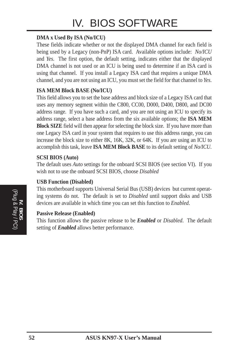# IV. BIOS SOFTWARE

#### **DMA x Used By ISA (No/ICU)**

These fields indicate whether or not the displayed DMA channel for each field is being used by a Legacy (non-PnP) ISA card. Available options include: *No/ICU* and *Yes*. The first option, the default setting, indicates either that the displayed DMA channel is not used or an ICU is being used to determine if an ISA card is using that channel. If you install a Legacy ISA card that requires a unique DMA channel, and you are not using an ICU, you must set the field for that channel to *Yes*.

#### **ISA MEM Block BASE (No/ICU)**

This field allows you to set the base address and block size of a Legacy ISA card that uses any memory segment within the C800, CC00, D000, D400, D800, and DC00 address range. If you have such a card, and you are not using an ICU to specify its address range, select a base address from the six available options; the **ISA MEM Block SIZE** field will then appear for selecting the block size. If you have more than one Legacy ISA card in your system that requires to use this address range, you can increase the block size to either 8K, 16K, 32K, or 64K. If you are using an ICU to accomplish this task, leave **ISA MEM Block BASE** to its default setting of *No/ICU*.

#### **SCSI BIOS (Auto)**

The default uses *Auto* settings for the onboard SCSI BIOS (see section VI). If you wish not to use the onboard SCSI BIOS, choose *Disabled*

#### **USB Function (Disabled)**

This motherboard supports Universal Serial Bus (USB) devices but current operating systems do not. The default is set to *Disabled* until support disks and USB devices are available in which time you can set this function to *Enabled*.

#### **Passive Release (Enabled)**

This function allows the passive release to be *Enabled* or *Disabled*. The default setting of *Enabled* allows better performance.

(Plug & Play / PCI) **IV. BIOS**<br> **IV. BIOS**<br> **IV. BIOS**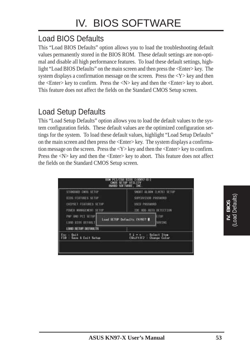## Load BIOS Defaults

This "Load BIOS Defaults" option allows you to load the troubleshooting default values permanently stored in the BIOS ROM. These default settings are non-optimal and disable all high performance features. To load these default settings, highlight "Load BIOS Defaults" on the main screen and then press the <Enter> key. The system displays a confirmation message on the screen. Press the  $\langle Y \rangle$  key and then the  $\leq$ Enter $>$  key to confirm. Press the  $\leq$ N $>$  key and then the  $\leq$ Enter $>$  key to abort. This feature does not affect the fields on the Standard CMOS Setup screen.

## Load Setup Defaults

This "Load Setup Defaults" option allows you to load the default values to the system configuration fields. These default values are the optimized configuration settings for the system. To load these default values, highlight "Load Setup Defaults" on the main screen and then press the <Enter> key. The system displays a confirmation message on the screen. Press the  $\langle Y \rangle$  key and then the  $\langle$ Enter $\rangle$  key to confirm. Press the <N> key and then the <Enter> key to abort. This feature does not affect the fields on the Standard CMOS Setup screen.

| STINGDRIL CNUS SETUP        | SMIRT DLORM (LN2B) SETUP           |
|-----------------------------|------------------------------------|
| <b>ILLUS FEATURES SETUP</b> | SUPERVISOR PASSHORD                |
| DUPSET FEATURES SETUP       | LISER PRSSVORD                     |
| PONER MANAGEMENT SETUP.     | TDE HDD RUTO DETECTION             |
| PIP IND PCT SETUP           | <b>ETIP</b>                        |
| LOOD H105 DEFAILT           | Luad SETUP Default: (V/N1? M       |
| LODGE SETUP DEFINITYS       | <b>SHVING</b>                      |
| Ouit                        | Select Item                        |
| Esc                         | $(s_{\text{hif},1}$ F <sub>2</sub> |
| F10 Save & Exit Setup       | <b>Change Color</b>                |

**IV. BIOS** (Load Defaults)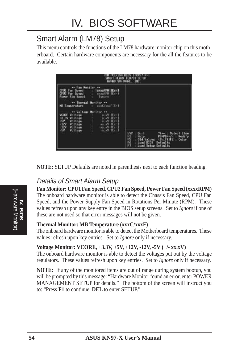## Smart Alarm (LM78) Setup

This menu controls the functions of the LM78 hardware monitor chip on this motherboard. Certain hardware components are necessary for the all the features to be available.

| 158                                                                                                                                                     | <b>TSKN97-K21</b><br><b>BILIS</b><br>SMRRT RERRN (EN78) SETUP<br>FARRO SOFTWARE, INC.                                                                                 |
|---------------------------------------------------------------------------------------------------------------------------------------------------------|-----------------------------------------------------------------------------------------------------------------------------------------------------------------------|
| ** Fan Munitor<br>÷<br>CPUI Fan Speed<br><b>SSSSSFM LEFT1</b><br><b>IErr</b><br>CPU2 Fan Speed<br>милоанри<br>Power Fan Speed<br><b>Jonera</b>          |                                                                                                                                                                       |
| ** Thermal Monitor **<br>MB Temperature - :: www.C/wooFIErI                                                                                             |                                                                                                                                                                       |
| ** Voltage Monitor<br>÷<br>VCDEE Voltage<br>$-3.3V$<br>Voltage<br>$-27.78$<br>Voltage<br>isM<br>Voltage<br><b>MR</b><br>Voltage<br>MM; NV<br><b>Any</b> |                                                                                                                                                                       |
| Voltage                                                                                                                                                 | このここの<br>$0$ ui 1<br>Time : Soloct Itom<br>PU/PD/+/-<br>Help<br>Modify<br>$[Shift]$ $2$<br><b>Old Values</b><br>Color<br>Defaults<br>Loud BIOS<br>Load Setup Defaults |

**NOTE:** SETUP Defaults are noted in parenthesis next to each function heading.

### Details of Smart Alarm Setup

**Fan Monitor: CPU1 Fan Speed, CPU2 Fan Speed, Power Fan Speed (xxxxRPM)** The onboard hardware monitor is able to detect the Chassis Fan Speed, CPU Fan Speed, and the Power Supply Fan Speed in Rotations Per Minute (RPM). These values refresh upon any key entry in the BIOS setup screens. Set to *Ignore* if one of these are not used so that error messages will not be given.

#### **Thermal Monitor: MB Temperature (xxxC/xxxF)**

The onboard hardware monitor is able to detect the Motherboard temperatures. These values refresh upon key entries. Set to *Ignore* only if necessary.

#### **Voltage Monitor: VCORE, +3.3V, +5V, +12V, -12V, -5V (+/- xx.xV)**

The onboard hardware monitor is able to detect the voltages put out by the voltage regulators. These values refresh upon key entries. Set to *Ignore* only if necessary.

**NOTE:** If any of the monitored items are out of range during system bootup, you will be prompted by this message: "Hardware Monitor found an error, enter POWER MANAGEMENT SETUP for details." The bottom of the screen will instruct you to: "Press **F1** to continue, **DEL** to enter SETUP."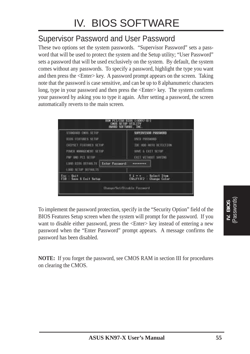## Supervisor Password and User Password

These two options set the system passwords. "Supervisor Password" sets a password that will be used to protect the system and the Setup utility; "User Password" sets a password that will be used exclusively on the system. By default, the system comes without any passwords. To specify a password, highlight the type you want and then press the <Enter> key. A password prompt appears on the screen. Taking note that the password is case sensitive, and can be up to 8 alphanumeric characters long, type in your password and then press the  $\leq$  Enter $\geq$  key. The system confirms your password by asking you to type it again. After setting a password, the screen automatically reverts to the main screen.

|                                                                                                                                    | CHOS<br>ANARD SOFTWARE INC. |                                                                                                                        |
|------------------------------------------------------------------------------------------------------------------------------------|-----------------------------|------------------------------------------------------------------------------------------------------------------------|
| STINGDRID CNOS SETUP<br><b><i>UTOS FEATURES SETUP</i></b><br>DUPSET FEBTURES SETUP<br>PONER MANAGEMENT SETUP.<br>PIP THE PLI SETUP |                             | SUPERVISOR PRSSHORD<br><b>USER PASSHORD</b><br>TOE HOD BITTH DETECTION<br>SAVE & EXIT SETUP<br><b>EXTENTION TONERS</b> |
| LOOD H105 DEFAULTS                                                                                                                 | Enter Password:             |                                                                                                                        |
| LOOD SETUP DEFAULTS                                                                                                                |                             |                                                                                                                        |
| Ouit<br>Save & Exit Setup                                                                                                          |                             | <b>Select Item</b><br>(ShiftlF2)<br><b>Change Color</b>                                                                |
|                                                                                                                                    | Change/Sel/Disable Password |                                                                                                                        |

To implement the password protection, specify in the "Security Option" field of the BIOS Features Setup screen when the system will prompt for the password. If you want to disable either password, press the <Enter> key instead of entering a new password when the "Enter Password" prompt appears. A message confirms the password has been disabled.

**NOTE:** If you forget the password, see CMOS RAM in section III for procedures on clearing the CMOS.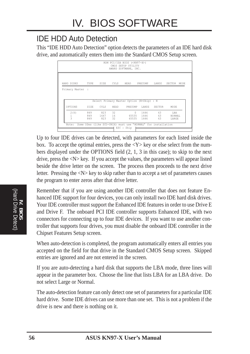## IDE HDD Auto Detection

This "IDE HDD Auto Detection" option detects the parameters of an IDE hard disk drive, and automatically enters them into the Standard CMOS Setup screen.



Up to four IDE drives can be detected, with parameters for each listed inside the box. To accept the optimal entries, press the  $\langle Y \rangle$  key or else select from the numbers displayed under the OPTIONS field (2, 1, 3 in this case); to skip to the next drive, press the  $\langle N \rangle$  key. If you accept the values, the parameters will appear listed beside the drive letter on the screen. The process then proceeds to the next drive letter. Pressing the  $\langle N \rangle$  key to skip rather than to accept a set of parameters causes the program to enter zeros after that drive letter.

Remember that if you are using another IDE controller that does not feature Enhanced IDE support for four devices, you can only install two IDE hard disk drives. Your IDE controller must support the Enhanced IDE features in order to use Drive E and Drive F. The onboard PCI IDE controller supports Enhanced IDE, with two connectors for connecting up to four IDE devices. If you want to use another controller that supports four drives, you must disable the onboard IDE controller in the Chipset Features Setup screen.

When auto-detection is completed, the program automatically enters all entries you accepted on the field for that drive in the Standard CMOS Setup screen. Skipped entries are ignored and are not entered in the screen.

If you are auto-detecting a hard disk that supports the LBA mode, three lines will appear in the parameter box. Choose the line that lists LBA for an LBA drive. Do not select Large or Normal.

The auto-detection feature can only detect one set of parameters for a particular IDE hard drive. Some IDE drives can use more than one set. This is not a problem if the drive is new and there is nothing on it.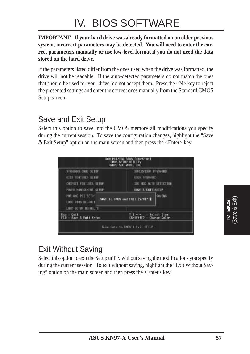# IV. BIOS SOFTWARE

**IMPORTANT: If your hard drive was already formatted on an older previous system, incorrect parameters may be detected. You will need to enter the correct parameters manually or use low-level format if you do not need the data stored on the hard drive.**

If the parameters listed differ from the ones used when the drive was formatted, the drive will not be readable. If the auto-detected parameters do not match the ones that should be used for your drive, do not accept them. Press the  $\langle N \rangle$  key to reject the presented settings and enter the correct ones manually from the Standard CMOS Setup screen.

## Save and Exit Setup

Select this option to save into the CMOS memory all modifications you specify during the current session. To save the configuration changes, highlight the "Save & Exit Setup" option on the main screen and then press the <Enter> key.

|                                         | HARRD SOFTWEEE, TNC.                     |
|-----------------------------------------|------------------------------------------|
| STILLDARD CHUS SETUP                    | <b>SUPERVISON POSSMOND</b>               |
| 8105 FEATURES SETUP                     | <b>USEN PASSWIRD</b>                     |
| CHIPSET FEATURES SETUP                  | THE HOD AUTO DETECTION                   |
| POVER MONOGENERT SETTIE                 | SAVE & EXIT SETUP                        |
| PWP TOO PCT SETH!<br>LOAD DIDS DEFINILT | SAVING<br>SAVE to CHOS and EXIT (V/H)? ■ |
| LOOD SETUP DEFAILER                     |                                          |
| <b>Duit</b><br>Save & Ewit Setum        | Select Item<br><b>Change Color</b>       |
|                                         | Save Data to CHOS & Exit SETUP           |

# **IV. BIOS** Save & Exit

## Exit Without Saving

Select this option to exit the Setup utility without saving the modifications you specify during the current session. To exit without saving, highlight the "Exit Without Saving" option on the main screen and then press the <Enter> key.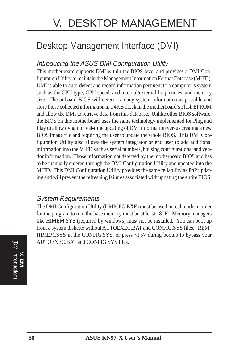# Desktop Management Interface (DMI)

### Introducing the ASUS DMI Configuration Utility

This motherboard supports DMI within the BIOS level and provides a DMI Configuration Utility to maintain the Management Information Format Database (MIFD). DMI is able to auto-detect and record information pertinent to a computer's system such as the CPU type, CPU speed, and internal/external frequencies, and memory size. The onboard BIOS will detect as many system information as possible and store those collected information in a 4KB block in the motherboard's Flash EPROM and allow the DMI to retrieve data from this database. Unlike other BIOS software, the BIOS on this motherboard uses the same technology implemented for Plug and Play to allow dynamic real-time updating of DMI information versus creating a new BIOS image file and requiring the user to update the whole BIOS. This DMI Configuration Utility also allows the system integrator or end user to add additional information into the MIFD such as serial numbers, housing configurations, and vendor information. Those information not detected by the motherboard BIOS and has to be manually entered through the DMI Configuration Utility and updated into the MIFD. This DMI Configuration Utility provides the same reliability as PnP updating and will prevent the refreshing failures associated with updating the entire BIOS.

### System Requirements

The DMI Configuration Utility (DMICFG.EXE) must be used in real mode in order for the program to run, the base memory must be at least 180K. Memory managers like HIMEM.SYS (required by windows) must not be installed. You can boot up from a system diskette without AUTOEXEC.BAT and CONFIG.SYS files, "REM" HIMEM.SYS in the CONFIG.SYS, or press <F5> during bootup to bypass your AUTOEXEC.BAT and CONFIG.SYS files.

(DMI Introduction (DMI Introduction) **V. DMI**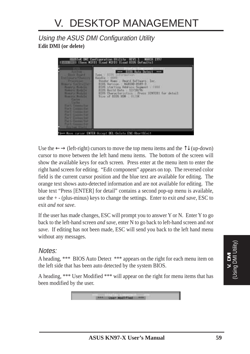### Using the ASUS DMI Configuration Utility **Edit DMI (or delete)**



Use the  $\leftarrow \rightarrow$  (left-right) cursors to move the top menu items and the  $\uparrow \downarrow$  (up-down) cursor to move between the left hand menu items. The bottom of the screen will show the available keys for each screen. Press enter at the menu item to enter the right hand screen for editing. "Edit component" appears on top. The reversed color field is the current cursor position and the blue text are available for editing. The orange text shows auto-detected information and are not available for editing. The blue text "Press [ENTER] for detail" contains a second pop-up menu is available, use the + - (plus-minus) keys to change the settings. Enter to exit *and save*, ESC to exit *and not save*.

If the user has made changes, ESC will prompt you to answer Y or N. Enter Y to go back to the left-hand screen *and save*, enter N to go back to left-hand screen and *not save*. If editing has not been made, ESC will send you back to the left hand menu without any messages.

#### Notes:

A heading, \*\*\* BIOS Auto Detect \*\*\* appears on the right for each menu item on the left side that has been auto detected by the system BIOS.

A heading, \*\*\* User Modified \*\*\* will appear on the right for menu items that has been modified by the user.

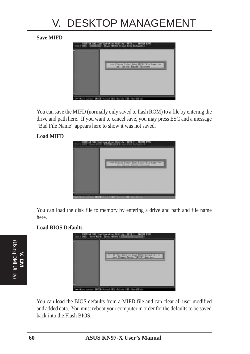# V. DESKTOP MANAGEMENT

#### **Save MIFD**



You can save the MIFD (normally only saved to flash ROM) to a file by entering the drive and path here. If you want to cancel save, you may press ESC and a message "Bad File Name" appears here to show it was not saved.

#### **Load MIFD**



You can load the disk file to memory by entering a drive and path and file name here.

#### **Load BIOS Defaults**



You can load the BIOS defaults from a MIFD file and can clear all user modified and added data. You must reboot your computer in order for the defaults to be saved back into the Flash BIOS.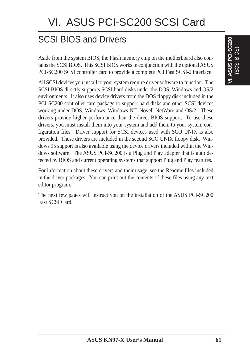# VI. ASUS PCI-SC200 SCSI Card

# SCSI BIOS and Drivers

Aside from the system BIOS, the Flash memory chip on the motherboard also contains the SCSI BIOS. This SCSI BIOS works in conjunction with the optional ASUS PCI-SC200 SCSI controller card to provide a complete PCI Fast SCSI-2 interface.

All SCSI devices you install to your system require driver software to function. The SCSI BIOS directly supports SCSI hard disks under the DOS, Windows and OS/2 environments. It also uses device drivers from the DOS floppy disk included in the PCI-SC200 controller card package to support hard disks and other SCSI devices working under DOS, Windows, Windows NT, Novell NetWare and OS/2. These drivers provide higher performance than the direct BIOS support. To use these drivers, you must install them into your system and add them to your system configuration files. Driver support for SCSI devices used with SCO UNIX is also provided. These drivers are included in the second SCO UNIX floppy disk. Windows 95 support is also available using the device drivers included within the Windows software. The ASUS PCI-SC200 is a Plug and Play adapter that is auto detected by BIOS and current operating systems that support Plug and Play features.

For information about these drivers and their usage, see the Readme files included in the driver packages. You can print out the contents of these files using any text editor program.

The next few pages will instruct you on the installation of the ASUS PCI-SC200 Fast SCSI Card.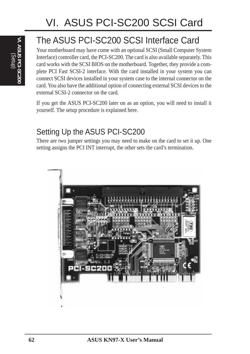# The ASUS PCI-SC200 SCSI Interface Card

Your motherboard may have come with an optional SCSI (Small Computer System Interface) controller card, the PCI-SC200. The card is also available separately. This card works with the SCSI BIOS on the motherboard. Together, they provide a complete PCI Fast SCSI-2 interface. With the card installed in your system you can connect SCSI devices installed in your system case to the internal connector on the card. You also have the additional option of connecting external SCSI devices to the external SCSI-2 connector on the card.

If you get the ASUS PCI-SC200 later on as an option, you will need to install it yourself. The setup procedure is explained here.

## Setting Up the ASUS PCI-SC200

There are two jumper settings you may need to make on the card to set it up. One setting assigns the PCI INT interrupt, the other sets the card's termination.

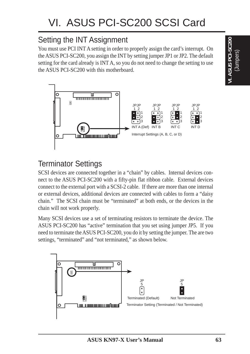## Setting the INT Assignment

You must use PCI INT A setting in order to properly assign the card's interrupt. On the ASUS PCI-SC200, you assign the INT by setting jumper JP1 or JP2. The default setting for the card already is INT A, so you do not need to change the setting to use the ASUS PCI-SC200 with this motherboard.



## Terminator Settings

SCSI devices are connected together in a "chain" by cables. Internal devices connect to the ASUS PCI-SC200 with a fifty-pin flat ribbon cable. External devices connect to the external port with a SCSI-2 cable. If there are more than one internal or external devices, additional devices are connected with cables to form a "daisy chain." The SCSI chain must be "terminated" at both ends, or the devices in the chain will not work properly.

Many SCSI devices use a set of terminating resistors to terminate the device. The ASUS PCI-SC200 has "active" termination that you set using jumper JP5. If you need to terminate the ASUS PCI-SC200, you do it by setting the jumper. The are two settings, "terminated" and "not terminated," as shown below.